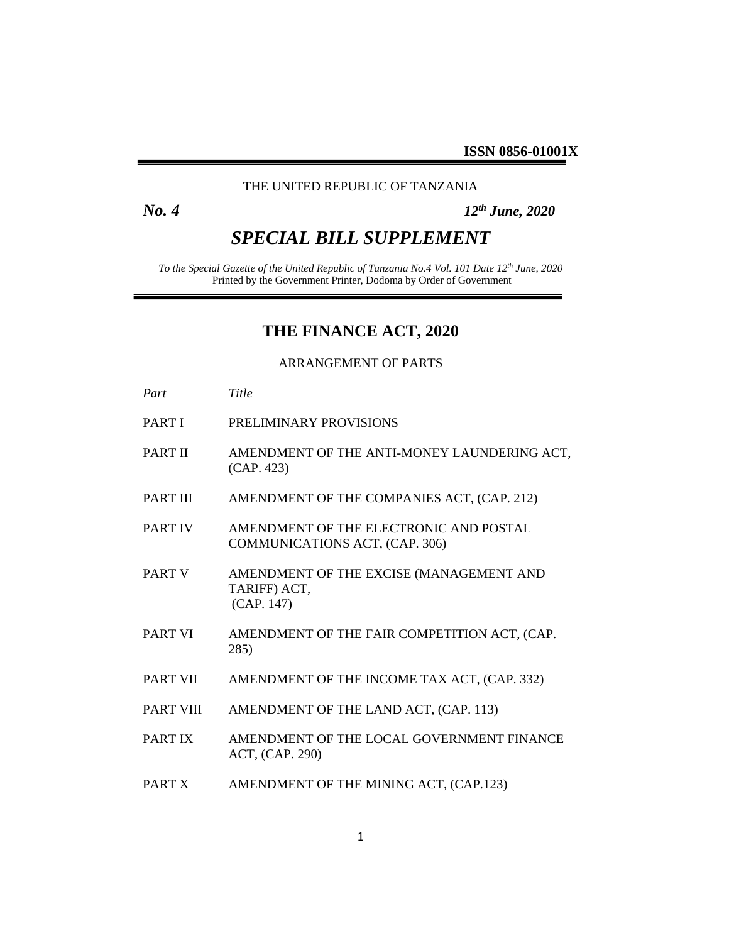## THE UNITED REPUBLIC OF TANZANIA

*No. 4 12th June, 2020*

# *SPECIAL BILL SUPPLEMENT*

*To the Special Gazette of the United Republic of Tanzania No.4 Vol. 101 Date 12th June, 2020* Printed by the Government Printer, Dodoma by Order of Government

## **THE FINANCE ACT, 2020**

## ARRANGEMENT OF PARTS

- *Part Title*
- PART I PRELIMINARY PROVISIONS
- PART II AMENDMENT OF THE ANTI-MONEY LAUNDERING ACT, (CAP. 423)
- PART III AMENDMENT OF THE COMPANIES ACT, (CAP. 212)
- PART IV AMENDMENT OF THE ELECTRONIC AND POSTAL COMMUNICATIONS ACT, (CAP. 306)
- PART V AMENDMENT OF THE EXCISE (MANAGEMENT AND TARIFF) ACT, (CAP. 147)
- PART VI AMENDMENT OF THE FAIR COMPETITION ACT, (CAP. 285)
- PART VII AMENDMENT OF THE INCOME TAX ACT, (CAP. 332)
- PART VIII AMENDMENT OF THE LAND ACT, (CAP. 113)
- PART IX AMENDMENT OF THE LOCAL GOVERNMENT FINANCE ACT, (CAP. 290)
- PART X AMENDMENT OF THE MINING ACT, (CAP.123)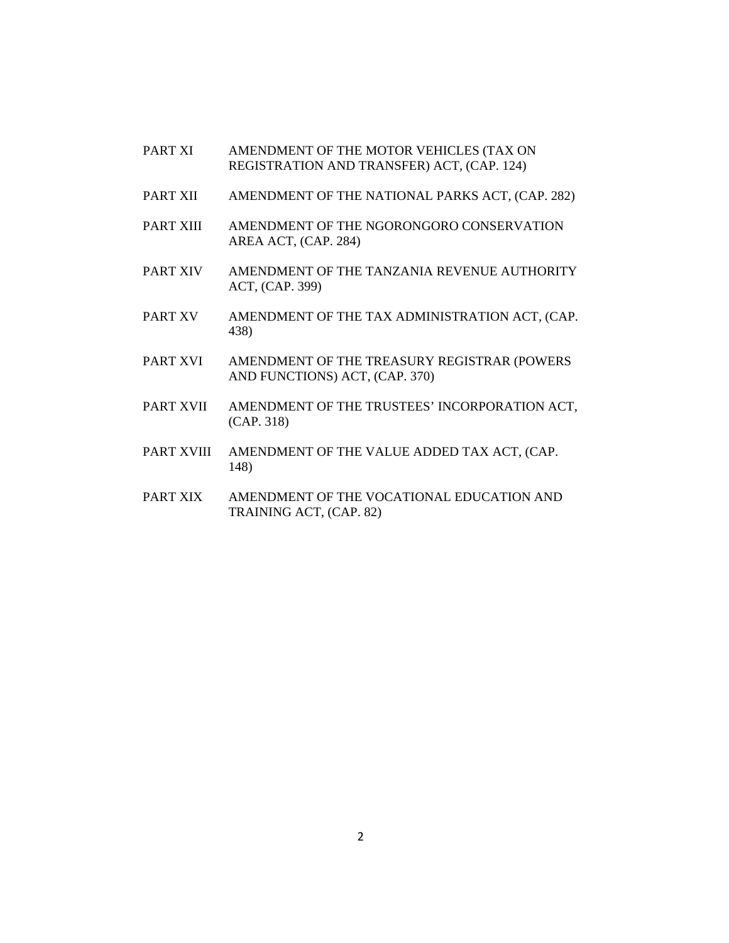- PART XI AMENDMENT OF THE MOTOR VEHICLES (TAX ON REGISTRATION AND TRANSFER) ACT, (CAP. 124)
- PART XII AMENDMENT OF THE NATIONAL PARKS ACT, (CAP. 282)
- PART XIII AMENDMENT OF THE NGORONGORO CONSERVATION AREA ACT, (CAP. 284)
- PART XIV AMENDMENT OF THE TANZANIA REVENUE AUTHORITY ACT, (CAP. 399)
- PART XV AMENDMENT OF THE TAX ADMINISTRATION ACT, (CAP. 438)
- PART XVI AMENDMENT OF THE TREASURY REGISTRAR (POWERS AND FUNCTIONS) ACT, (CAP. 370)
- PART XVII AMENDMENT OF THE TRUSTEES' INCORPORATION ACT, (CAP. 318)
- PART XVIII AMENDMENT OF THE VALUE ADDED TAX ACT, (CAP. 148)
- PART XIX AMENDMENT OF THE VOCATIONAL EDUCATION AND TRAINING ACT, (CAP. 82)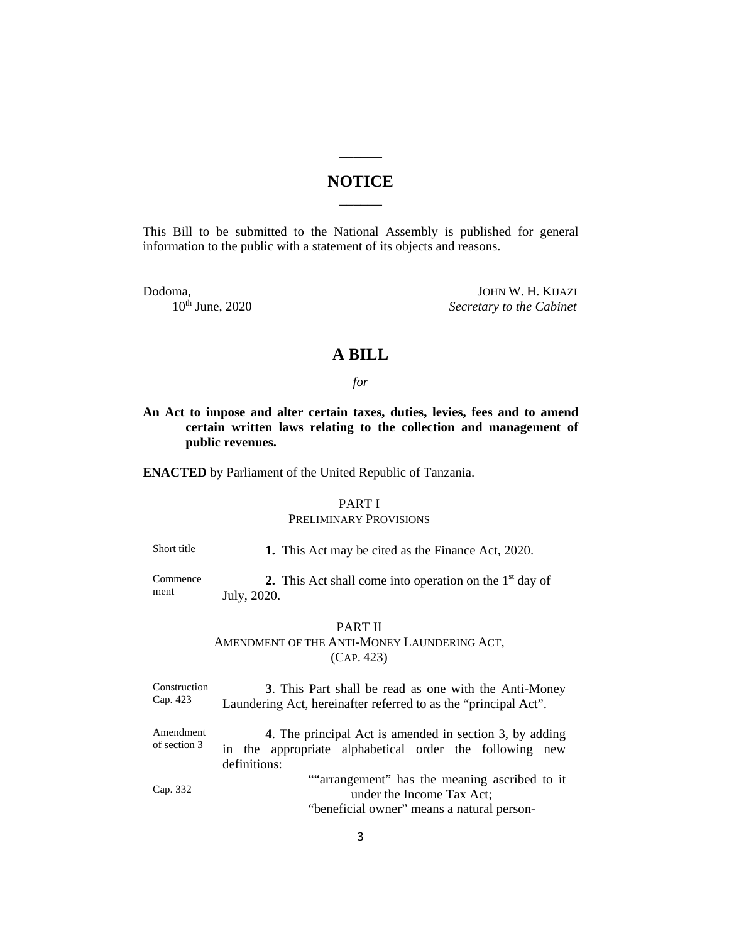## **NOTICE**  $\overline{\phantom{a}}$

 $\overline{\phantom{a}}$ 

This Bill to be submitted to the National Assembly is published for general information to the public with a statement of its objects and reasons.

Dodoma, JOHN W. H. KIJAZI 10<sup>th</sup> June, 2020 *Secretary to the Cabinet* 

## **A BILL**

*for*

**An Act to impose and alter certain taxes, duties, levies, fees and to amend certain written laws relating to the collection and management of public revenues.**

**ENACTED** by Parliament of the United Republic of Tanzania.

## PART I

#### PRELIMINARY PROVISIONS

Short title **1.** This Act may be cited as the Finance Act, 2020.

Commence ment

**2.** This Act shall come into operation on the  $1<sup>st</sup>$  day of July, 2020.

#### PART II

AMENDMENT OF THE ANTI-MONEY LAUNDERING ACT, (CAP. 423)

Construction Cap. 423 **3**. This Part shall be read as one with the Anti-Money Laundering Act, hereinafter referred to as the "principal Act".

Amendment of section 3 **4**. The principal Act is amended in section 3, by adding in the appropriate alphabetical order the following new definitions: Cap. 332 ""arrangement" has the meaning ascribed to it
under the Income Tax Act: under the Income Tax Act;

"beneficial owner" means a natural person-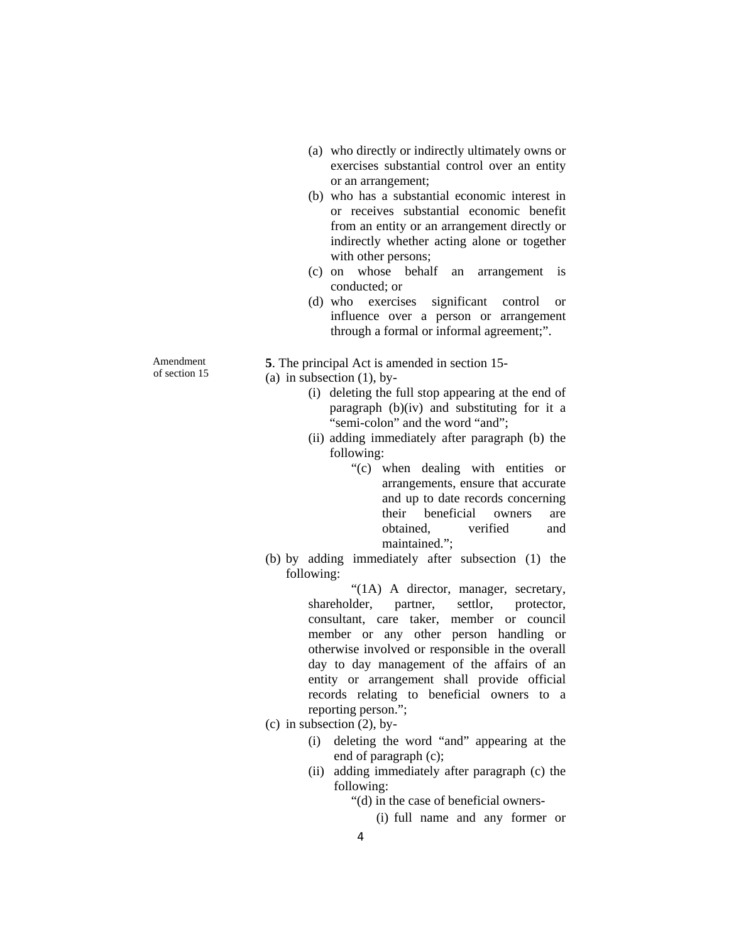- (a) who directly or indirectly ultimately owns or exercises substantial control over an entity or an arrangement;
- (b) who has a substantial economic interest in or receives substantial economic benefit from an entity or an arrangement directly or indirectly whether acting alone or together with other persons;
- (c) on whose behalf an arrangement is conducted; or
- (d) who exercises significant control or influence over a person or arrangement through a formal or informal agreement;".

**5**. The principal Act is amended in section 15-

(a) in subsection  $(1)$ , by-

- (i) deleting the full stop appearing at the end of paragraph (b)(iv) and substituting for it a "semi-colon" and the word "and";
- (ii) adding immediately after paragraph (b) the following:
	- "(c) when dealing with entities or arrangements, ensure that accurate and up to date records concerning their beneficial owners are obtained, verified and maintained.";
- (b) by adding immediately after subsection (1) the following:

"(1A) A director, manager, secretary, shareholder, partner, settlor, protector, consultant, care taker, member or council member or any other person handling or otherwise involved or responsible in the overall day to day management of the affairs of an entity or arrangement shall provide official records relating to beneficial owners to a reporting person.";

- (c) in subsection  $(2)$ , by-
	- (i) deleting the word "and" appearing at the end of paragraph (c);
	- (ii) adding immediately after paragraph (c) the following:
		- "(d) in the case of beneficial owners-
			- (i) full name and any former or

Amendment of section 15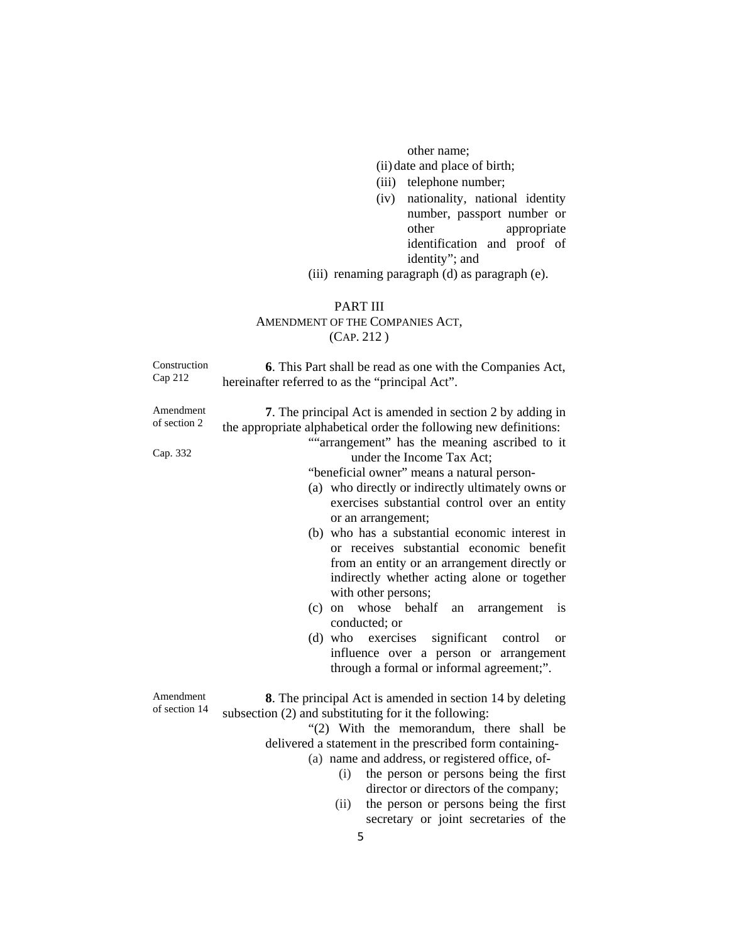other name;

(ii) date and place of birth;

- (iii) telephone number;
- (iv) nationality, national identity number, passport number or other appropriate identification and proof of identity"; and

(iii) renaming paragraph (d) as paragraph (e).

### PART III

## AMENDMENT OF THE COMPANIES ACT, (CAP. 212 )

| Construction<br>Cap 212               | <b>6.</b> This Part shall be read as one with the Companies Act,<br>hereinafter referred to as the "principal Act".                                                                                                                                                                                                                                                                                                                                                                                                                                                                                                                                                                                                                                                                                                                            |  |  |  |
|---------------------------------------|------------------------------------------------------------------------------------------------------------------------------------------------------------------------------------------------------------------------------------------------------------------------------------------------------------------------------------------------------------------------------------------------------------------------------------------------------------------------------------------------------------------------------------------------------------------------------------------------------------------------------------------------------------------------------------------------------------------------------------------------------------------------------------------------------------------------------------------------|--|--|--|
| Amendment<br>of section 2<br>Cap. 332 | 7. The principal Act is amended in section 2 by adding in<br>the appropriate alphabetical order the following new definitions:<br>""arrangement" has the meaning ascribed to it<br>under the Income Tax Act;<br>"beneficial owner" means a natural person-<br>(a) who directly or indirectly ultimately owns or<br>exercises substantial control over an entity<br>or an arrangement;<br>(b) who has a substantial economic interest in<br>or receives substantial economic benefit<br>from an entity or an arrangement directly or<br>indirectly whether acting alone or together<br>with other persons;<br>whose behalf<br>(c)<br>on<br>an<br>arrangement<br><i>is</i><br>conducted; or<br>exercises significant<br>$(d)$ who<br>control<br><b>or</b><br>influence over a person or arrangement<br>through a formal or informal agreement;". |  |  |  |
| Amendment<br>of section 14            | <b>8.</b> The principal Act is amended in section 14 by deleting<br>subsection (2) and substituting for it the following:<br>"(2) With the memorandum, there shall be<br>delivered a statement in the prescribed form containing-<br>(a) name and address, or registered office, of-<br>the person or persons being the first<br>(i)<br>director or directors of the company;<br>the person or persons being the first<br>(ii)                                                                                                                                                                                                                                                                                                                                                                                                                 |  |  |  |

secretary or joint secretaries of the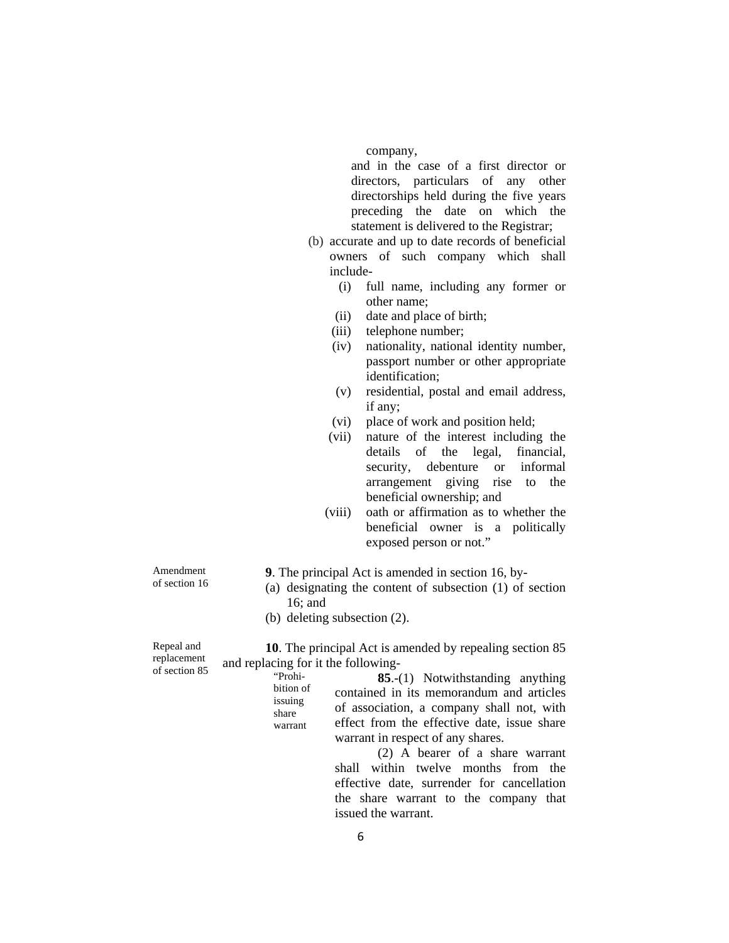company,

and in the case of a first director or directors, particulars of any other directorships held during the five years preceding the date on which the statement is delivered to the Registrar;

- (b) accurate and up to date records of beneficial owners of such company which shall include-
	- (i) full name, including any former or other name;
	- (ii) date and place of birth;
	- (iii) telephone number;
	- (iv) nationality, national identity number, passport number or other appropriate identification;
	- (v) residential, postal and email address, if any;
	- (vi) place of work and position held;
	- (vii) nature of the interest including the details of the legal, financial, security, debenture or informal arrangement giving rise to the beneficial ownership; and
	- (viii) oath or affirmation as to whether the beneficial owner is a politically exposed person or not."

**9**. The principal Act is amended in section 16, by-

- (a) designating the content of subsection (1) of section 16; and
- (b) deleting subsection (2).

"Prohibition of issuing share warrant

Repeal and replacement of section 85

Amendment of section 16

> **10**. The principal Act is amended by repealing section 85 and replacing for it the following-

> > **85**.-(1) Notwithstanding anything contained in its memorandum and articles of association, a company shall not, with effect from the effective date, issue share warrant in respect of any shares.

(2) A bearer of a share warrant shall within twelve months from the effective date, surrender for cancellation the share warrant to the company that issued the warrant.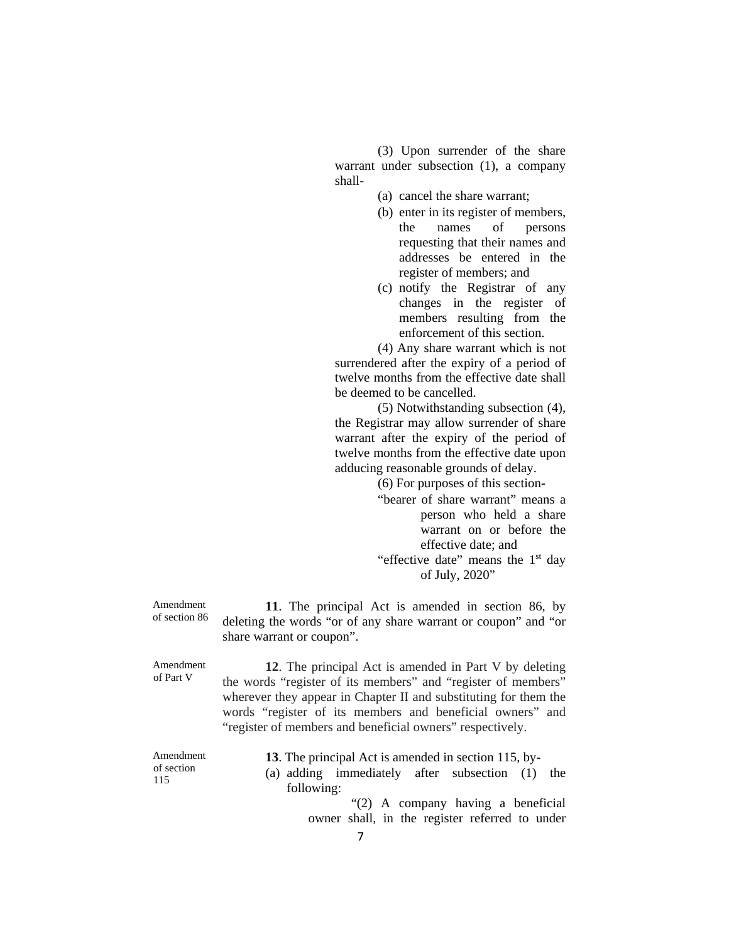(3) Upon surrender of the share warrant under subsection (1), a company shall-

- (a) cancel the share warrant;
- (b) enter in its register of members, the names of persons requesting that their names and addresses be entered in the register of members; and
- (c) notify the Registrar of any changes in the register of members resulting from the enforcement of this section.

(4) Any share warrant which is not surrendered after the expiry of a period of twelve months from the effective date shall be deemed to be cancelled.

(5) Notwithstanding subsection (4), the Registrar may allow surrender of share warrant after the expiry of the period of twelve months from the effective date upon adducing reasonable grounds of delay.

(6) For purposes of this section-

- "bearer of share warrant" means a person who held a share warrant on or before the effective date; and
- "effective date" means the  $1<sup>st</sup>$  day of July, 2020"

**11**. The principal Act is amended in section 86, by deleting the words "or of any share warrant or coupon" and "or share warrant or coupon".

Amendment of Part V **12**. The principal Act is amended in Part V by deleting the words "register of its members" and "register of members" wherever they appear in Chapter II and substituting for them the words "register of its members and beneficial owners" and "register of members and beneficial owners" respectively. Amendment of section 115 **13**. The principal Act is amended in section 115, by- (a) adding immediately after subsection (1) the following:

Amendment of section 86

> "(2) A company having a beneficial owner shall, in the register referred to under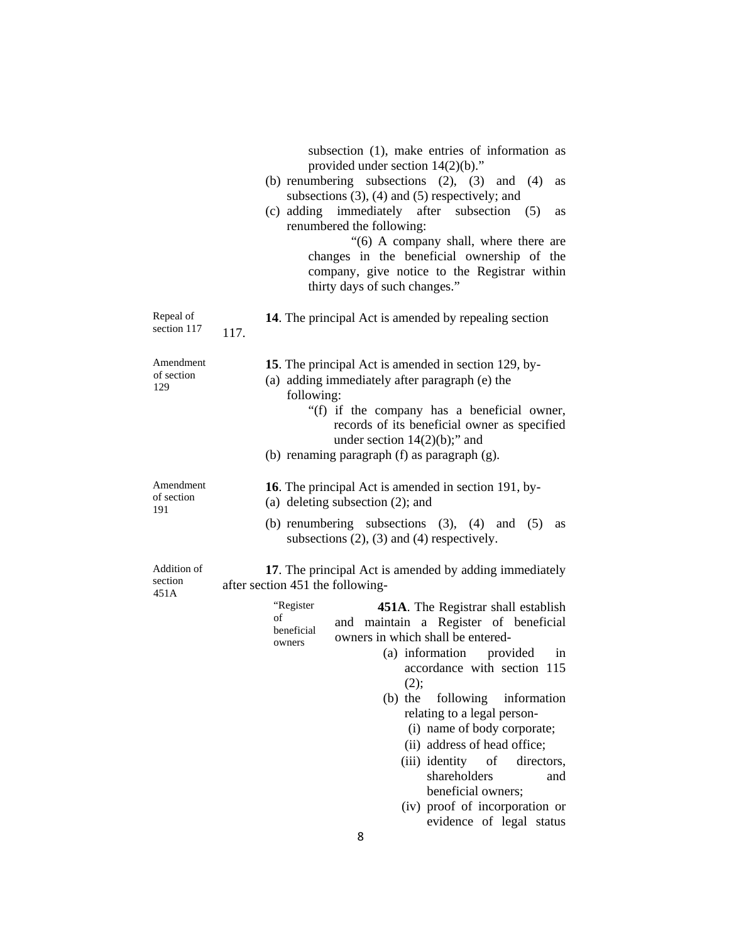|                                | subsection (1), make entries of information as<br>provided under section $14(2)(b)$ ."<br>(b) renumbering subsections $(2)$ , $(3)$ and $(4)$<br>as<br>subsections $(3)$ , $(4)$ and $(5)$ respectively; and<br>(c) adding immediately after subsection<br>(5)<br>as<br>renumbered the following:<br>"(6) A company shall, where there are<br>changes in the beneficial ownership of the<br>company, give notice to the Registrar within<br>thirty days of such changes."     |  |  |
|--------------------------------|-------------------------------------------------------------------------------------------------------------------------------------------------------------------------------------------------------------------------------------------------------------------------------------------------------------------------------------------------------------------------------------------------------------------------------------------------------------------------------|--|--|
| Repeal of<br>section 117       | 14. The principal Act is amended by repealing section<br>117.                                                                                                                                                                                                                                                                                                                                                                                                                 |  |  |
| Amendment<br>of section<br>129 | 15. The principal Act is amended in section 129, by-<br>(a) adding immediately after paragraph (e) the<br>following:<br>"(f) if the company has a beneficial owner,<br>records of its beneficial owner as specified<br>under section $14(2)(b)$ ;" and<br>(b) renaming paragraph (f) as paragraph (g).                                                                                                                                                                        |  |  |
| Amendment<br>of section<br>191 | 16. The principal Act is amended in section 191, by-<br>(a) deleting subsection $(2)$ ; and<br>(b) renumbering subsections $(3)$ , $(4)$ and $(5)$<br>as<br>subsections $(2)$ , $(3)$ and $(4)$ respectively.                                                                                                                                                                                                                                                                 |  |  |
| Addition of<br>section<br>451A | 17. The principal Act is amended by adding immediately<br>after section 451 the following-<br>"Register<br>451A. The Registrar shall establish<br>of<br>and maintain a Register of beneficial<br>beneficial<br>owners in which shall be entered-<br>owners<br>(a) information provided<br>in<br>accordance with section<br>115<br>(2);<br>$(b)$ the<br>following<br>information<br>relating to a legal person-<br>(i) name of body corporate;<br>(ii) address of head office; |  |  |
|                                | (iii) identity<br>of<br>directors,<br>shareholders<br>and<br>beneficial owners;<br>(iv) proof of incorporation or<br>evidence of legal status<br>8                                                                                                                                                                                                                                                                                                                            |  |  |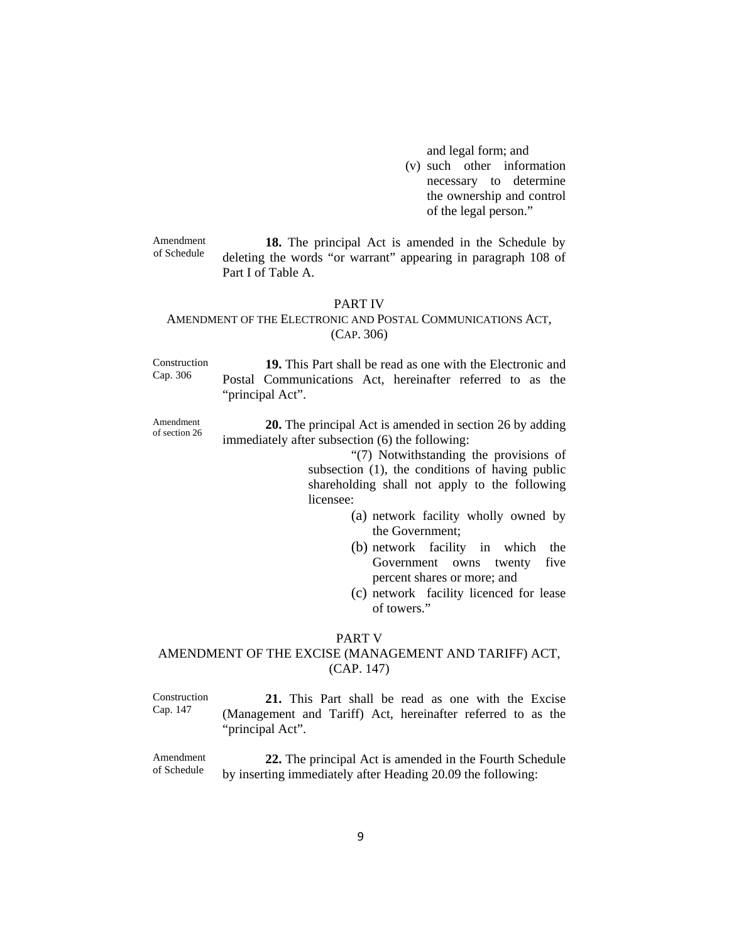and legal form; and

(v) such other information necessary to determine the ownership and control of the legal person."

Amendment of Schedule **18.** The principal Act is amended in the Schedule by deleting the words "or warrant" appearing in paragraph 108 of Part I of Table A.

#### PART IV

#### AMENDMENT OF THE ELECTRONIC AND POSTAL COMMUNICATIONS ACT, (CAP. 306)

Construction Cap. 306

**19.** This Part shall be read as one with the Electronic and Postal Communications Act, hereinafter referred to as the "principal Act".

Amendment of section 26 **20.** The principal Act is amended in section 26 by adding immediately after subsection (6) the following:

> "(7) Notwithstanding the provisions of subsection (1), the conditions of having public shareholding shall not apply to the following licensee:

- (a) network facility wholly owned by the Government;
- (b) network facility in which the Government owns twenty five percent shares or more; and
- (c) network facility licenced for lease of towers."

#### PART V

## AMENDMENT OF THE EXCISE (MANAGEMENT AND TARIFF) ACT, (CAP. 147)

Construction Cap. 147 **21.** This Part shall be read as one with the Excise (Management and Tariff) Act, hereinafter referred to as the "principal Act".

Amendment of Schedule **22.** The principal Act is amended in the Fourth Schedule by inserting immediately after Heading 20.09 the following: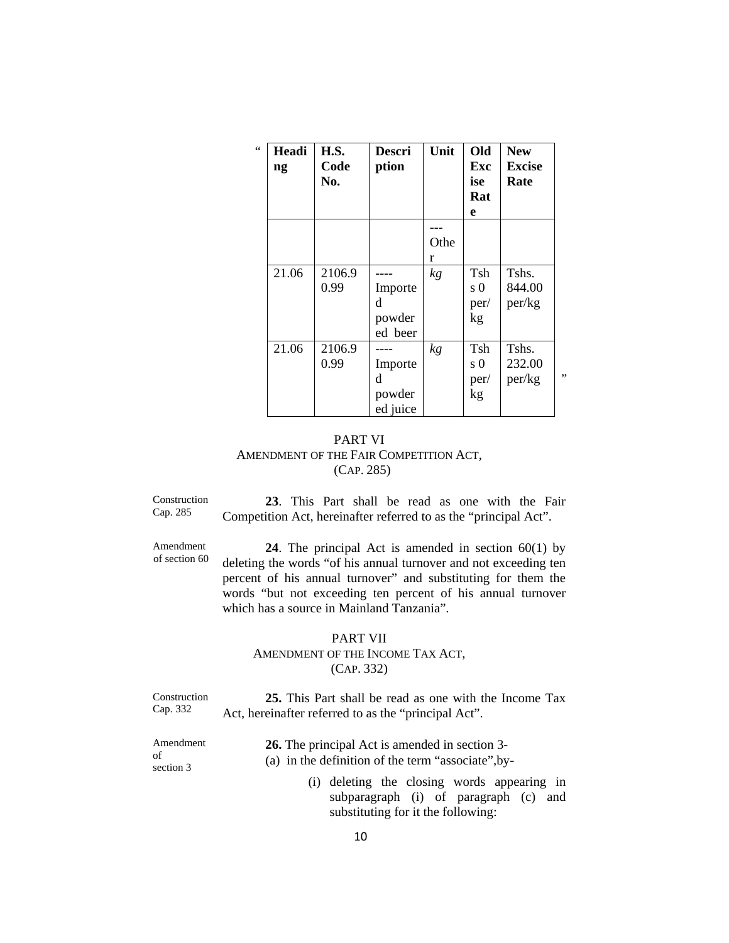| $\epsilon \, \epsilon$ | Headi<br>$\mathbf{n}\mathbf{g}$ | H.S.<br>Code<br>No. | Descri<br>ption                    | Unit      | Old<br>Exc<br>ise<br>Rat<br>e | <b>New</b><br><b>Excise</b><br>Rate |    |
|------------------------|---------------------------------|---------------------|------------------------------------|-----------|-------------------------------|-------------------------------------|----|
|                        |                                 |                     |                                    | Othe<br>r |                               |                                     |    |
|                        | 21.06                           | 2106.9<br>0.99      | Importe<br>d<br>powder<br>ed beer  | kg        | Tsh<br>$\Omega$<br>per/<br>kg | Tshs.<br>844.00<br>per/kg           |    |
|                        | 21.06                           | 2106.9<br>0.99      | Importe<br>d<br>powder<br>ed juice | kg        | Tsh<br>s 0<br>per/<br>kg      | Tshs.<br>232.00<br>per/kg           | ,, |

## PART VI AMENDMENT OF THE FAIR COMPETITION ACT, (CAP. 285)

Construction Cap. 285

Amendment of section 60

**23**. This Part shall be read as one with the Fair Competition Act, hereinafter referred to as the "principal Act".

**24**. The principal Act is amended in section 60(1) by deleting the words "of his annual turnover and not exceeding ten percent of his annual turnover" and substituting for them the words "but not exceeding ten percent of his annual turnover which has a source in Mainland Tanzania".

### PART VII AMENDMENT OF THE INCOME TAX ACT, (CAP. 332)

Construction Cap. 332 **25.** This Part shall be read as one with the Income Tax Act, hereinafter referred to as the "principal Act".

| Amendment       | <b>26.</b> The principal Act is amended in section 3- |
|-----------------|-------------------------------------------------------|
| of<br>section 3 | (a) in the definition of the term "associate", by-    |
|                 | (i) deleting the closing words appearing in           |
|                 | subparagraph (i) of paragraph (c) and                 |
|                 | substituting for it the following:                    |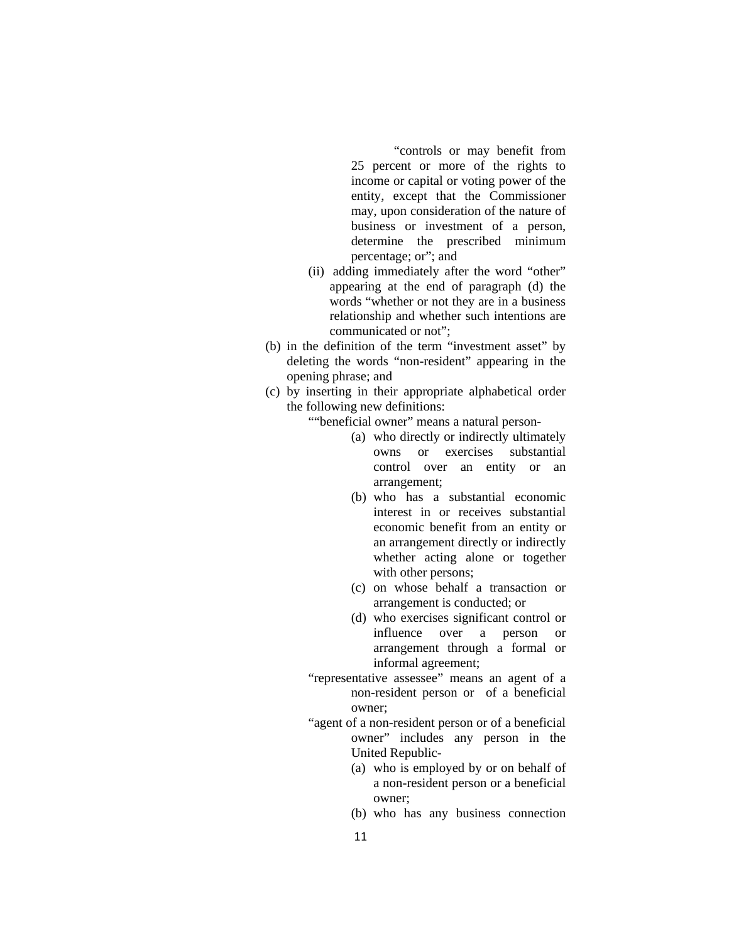"controls or may benefit from 25 percent or more of the rights to income or capital or voting power of the entity, except that the Commissioner may, upon consideration of the nature of business or investment of a person, determine the prescribed minimum percentage; or"; and

- (ii) adding immediately after the word "other" appearing at the end of paragraph (d) the words "whether or not they are in a business relationship and whether such intentions are communicated or not";
- (b) in the definition of the term "investment asset" by deleting the words "non-resident" appearing in the opening phrase; and
- (c) by inserting in their appropriate alphabetical order the following new definitions:

""beneficial owner" means a natural person-

- (a) who directly or indirectly ultimately owns or exercises substantial control over an entity or an arrangement;
- (b) who has a substantial economic interest in or receives substantial economic benefit from an entity or an arrangement directly or indirectly whether acting alone or together with other persons;
- (c) on whose behalf a transaction or arrangement is conducted; or
- (d) who exercises significant control or influence over a person or arrangement through a formal or informal agreement;
- "representative assessee" means an agent of a non-resident person or of a beneficial owner;
- "agent of a non-resident person or of a beneficial owner" includes any person in the United Republic-
	- (a) who is employed by or on behalf of a non-resident person or a beneficial owner;
	- (b) who has any business connection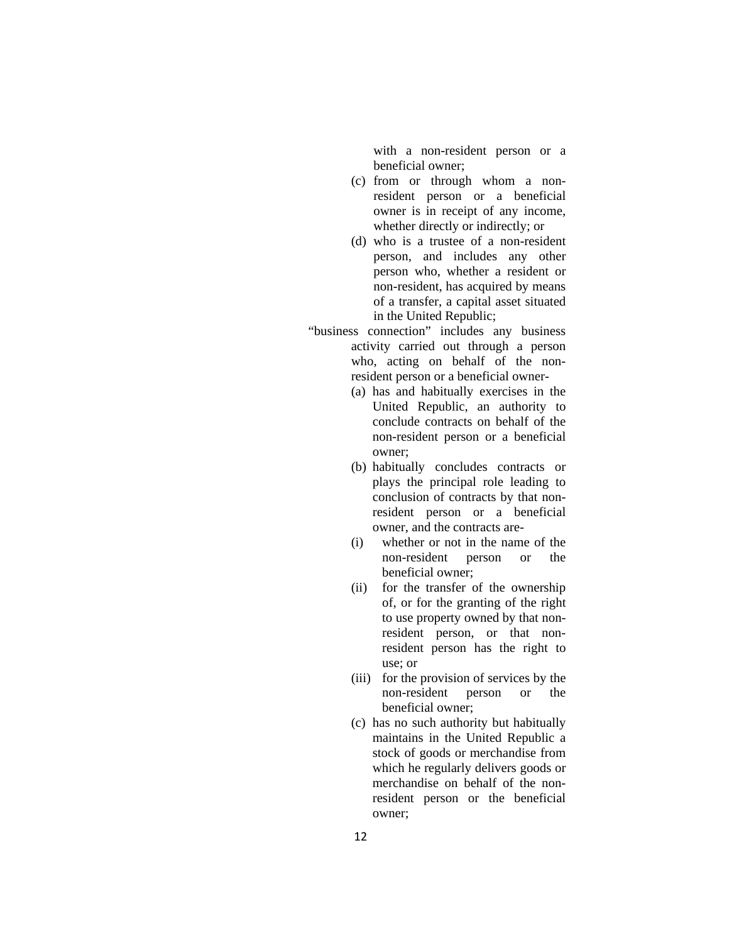with a non-resident person or a beneficial owner;

- (c) from or through whom a nonresident person or a beneficial owner is in receipt of any income, whether directly or indirectly; or
- (d) who is a trustee of a non-resident person, and includes any other person who, whether a resident or non-resident, has acquired by means of a transfer, a capital asset situated in the United Republic;
- "business connection" includes any business activity carried out through a person who, acting on behalf of the nonresident person or a beneficial owner-
	- (a) has and habitually exercises in the United Republic, an authority to conclude contracts on behalf of the non-resident person or a beneficial owner;
	- (b) habitually concludes contracts or plays the principal role leading to conclusion of contracts by that nonresident person or a beneficial owner, and the contracts are-
	- (i) whether or not in the name of the non-resident person or the beneficial owner;
	- (ii) for the transfer of the ownership of, or for the granting of the right to use property owned by that nonresident person, or that nonresident person has the right to use; or
	- (iii) for the provision of services by the non-resident person or the beneficial owner;
	- (c) has no such authority but habitually maintains in the United Republic a stock of goods or merchandise from which he regularly delivers goods or merchandise on behalf of the nonresident person or the beneficial owner;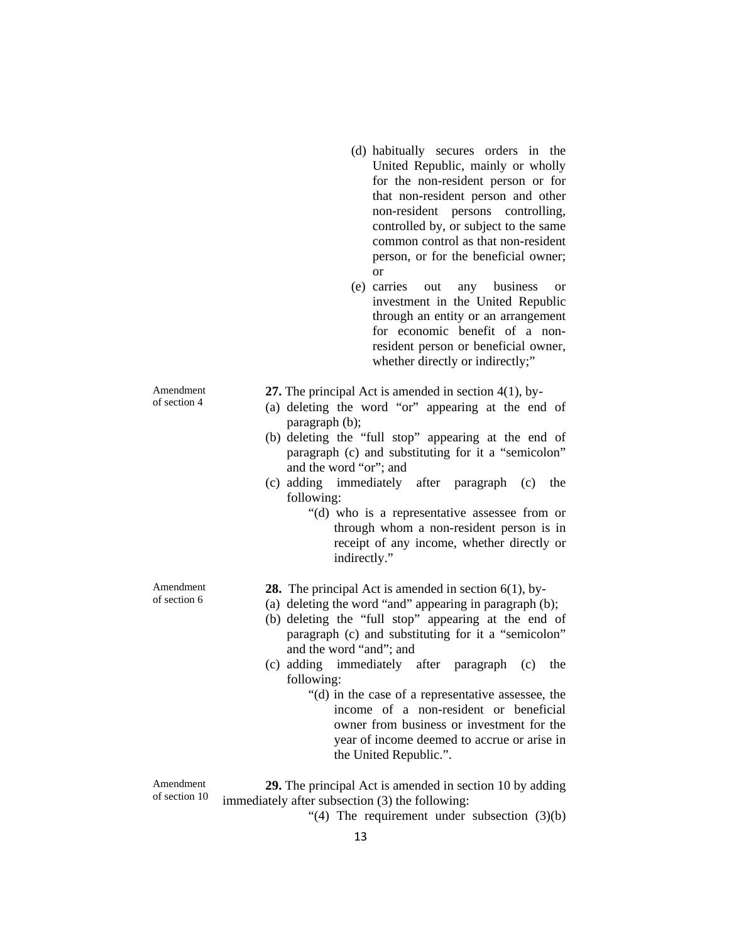- (d) habitually secures orders in the United Republic, mainly or wholly for the non-resident person or for that non-resident person and other non-resident persons controlling, controlled by, or subject to the same common control as that non-resident person, or for the beneficial owner; or
- (e) carries out any business or investment in the United Republic through an entity or an arrangement for economic benefit of a nonresident person or beneficial owner, whether directly or indirectly;"

Amendment of section 4

Amendment of section 6

**27.** The principal Act is amended in section 4(1), by-

- (a) deleting the word "or" appearing at the end of paragraph (b);
- (b) deleting the "full stop" appearing at the end of paragraph (c) and substituting for it a "semicolon" and the word "or"; and
- (c) adding immediately after paragraph (c) the following:
	- "(d) who is a representative assessee from or through whom a non-resident person is in receipt of any income, whether directly or indirectly."
- **28.** The principal Act is amended in section 6(1), by-
- (a) deleting the word "and" appearing in paragraph (b);
- (b) deleting the "full stop" appearing at the end of paragraph (c) and substituting for it a "semicolon" and the word "and"; and
- (c) adding immediately after paragraph (c) the following:
	- "(d) in the case of a representative assessee, the income of a non-resident or beneficial owner from business or investment for the year of income deemed to accrue or arise in the United Republic.".

Amendment of section 10

**29.** The principal Act is amended in section 10 by adding immediately after subsection (3) the following:

"(4) The requirement under subsection  $(3)(b)$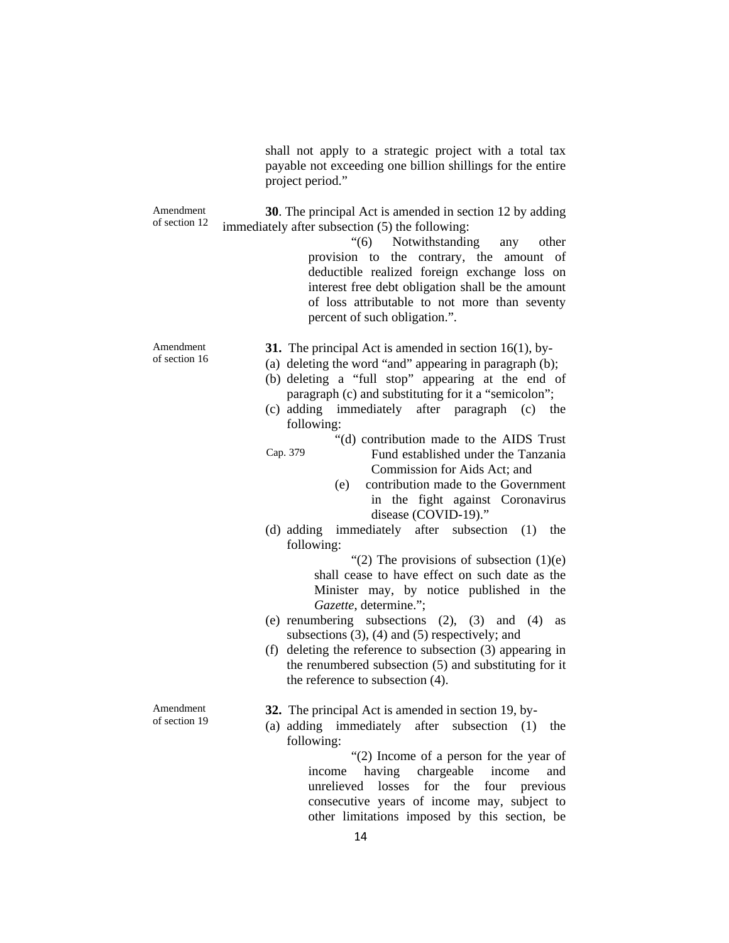shall not apply to a strategic project with a total tax payable not exceeding one billion shillings for the entire project period."

Amendment of section 12 **30**. The principal Act is amended in section 12 by adding immediately after subsection (5) the following:

> "(6) Notwithstanding any other provision to the contrary, the amount of deductible realized foreign exchange loss on interest free debt obligation shall be the amount of loss attributable to not more than seventy percent of such obligation.".

Amendment of section 16

- **31.** The principal Act is amended in section 16(1), by-
- (a) deleting the word "and" appearing in paragraph (b);
- (b) deleting a "full stop" appearing at the end of paragraph (c) and substituting for it a "semicolon";
- (c) adding immediately after paragraph (c) the following:

Cap. 379 "(d) contribution made to the AIDS Trust Fund established under the Tanzania

- 
- Commission for Aids Act; and
	- (e) contribution made to the Government in the fight against Coronavirus disease (COVID-19)."
- (d) adding immediately after subsection (1) the following:

"(2) The provisions of subsection  $(1)(e)$ shall cease to have effect on such date as the Minister may, by notice published in the *Gazette*, determine.";

- (e) renumbering subsections (2), (3) and (4) as subsections (3), (4) and (5) respectively; and
- (f) deleting the reference to subsection (3) appearing in the renumbered subsection (5) and substituting for it the reference to subsection (4).

Amendment of section 19

- **32.** The principal Act is amended in section 19, by-
- (a) adding immediately after subsection (1) the following:

"(2) Income of a person for the year of income having chargeable income and unrelieved losses for the four previous consecutive years of income may, subject to other limitations imposed by this section, be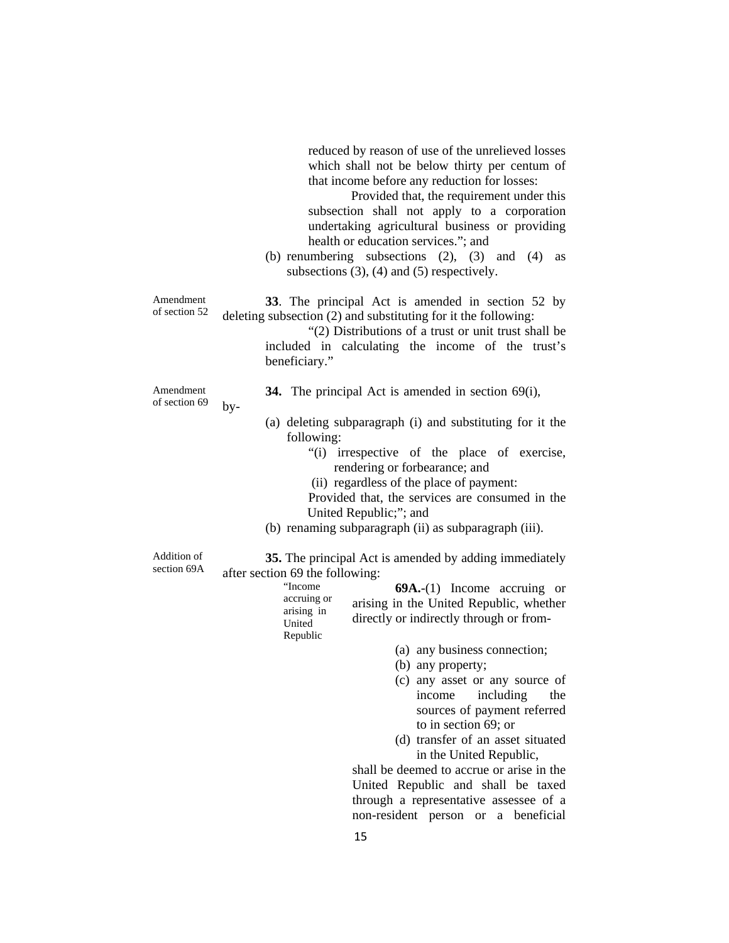|                            | reduced by reason of use of the unrelieved losses<br>which shall not be below thirty per centum of<br>that income before any reduction for losses:<br>Provided that, the requirement under this<br>subsection shall not apply to a corporation<br>undertaking agricultural business or providing<br>health or education services."; and<br>(b) renumbering subsections $(2)$ , $(3)$ and $(4)$<br>as<br>subsections $(3)$ , $(4)$ and $(5)$ respectively.                                                                                                                                                    |
|----------------------------|--------------------------------------------------------------------------------------------------------------------------------------------------------------------------------------------------------------------------------------------------------------------------------------------------------------------------------------------------------------------------------------------------------------------------------------------------------------------------------------------------------------------------------------------------------------------------------------------------------------|
| Amendment<br>of section 52 | 33. The principal Act is amended in section 52 by<br>deleting subsection (2) and substituting for it the following:<br>"(2) Distributions of a trust or unit trust shall be<br>included in calculating the income of the trust's<br>beneficiary."                                                                                                                                                                                                                                                                                                                                                            |
| Amendment<br>of section 69 | 34. The principal Act is amended in section $69(i)$ ,<br>$by-$<br>(a) deleting subparagraph (i) and substituting for it the<br>following:<br>"(i) irrespective of the place of exercise,<br>rendering or forbearance; and<br>(ii) regardless of the place of payment:<br>Provided that, the services are consumed in the<br>United Republic;"; and<br>(b) renaming subparagraph (ii) as subparagraph (iii).                                                                                                                                                                                                  |
| Addition of<br>section 69A | 35. The principal Act is amended by adding immediately<br>after section 69 the following:<br>"Income<br>$69A-(1)$ Income accruing or<br>accruing or<br>arising in the United Republic, whether<br>arising in<br>directly or indirectly through or from-<br>United<br>Republic<br>(a) any business connection;<br>(b) any property;<br>(c) any asset or any source of<br>including<br>the<br>income<br>sources of payment referred<br>to in section 69; or<br>(d) transfer of an asset situated<br>in the United Republic,<br>shall be deemed to accrue or arise in the<br>United Depublic and shall be toyed |

United Republic and shall be taxed through a representative assessee of a non-resident person or a beneficial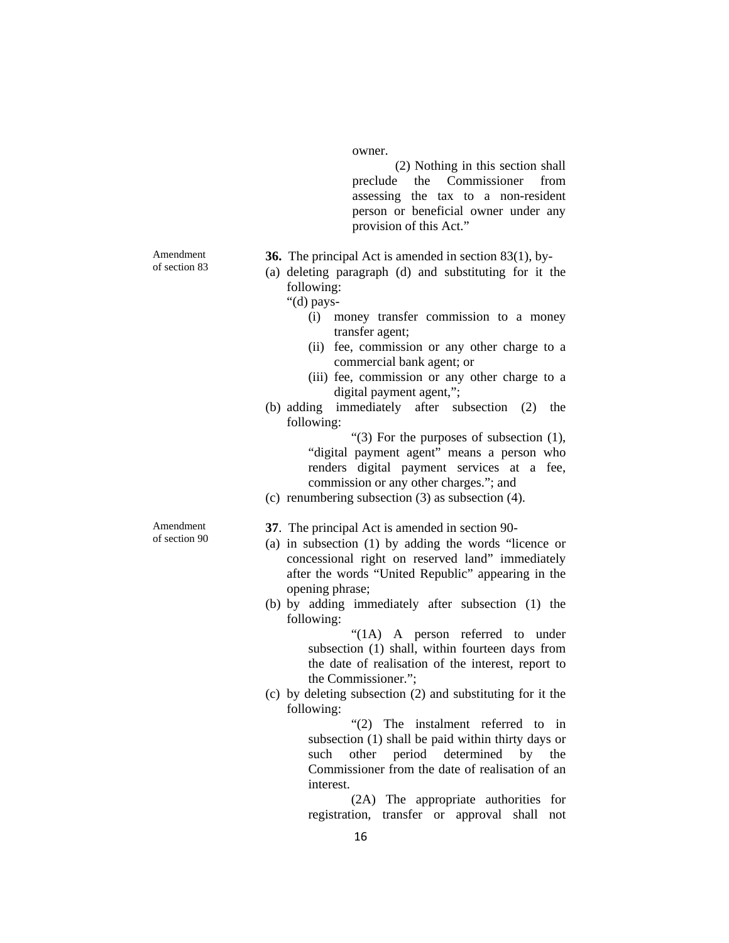owner.

(2) Nothing in this section shall preclude the Commissioner from assessing the tax to a non-resident person or beneficial owner under any provision of this Act."

**36.** The principal Act is amended in section 83(1), by-

(a) deleting paragraph (d) and substituting for it the following:

"(d) pays-

- (i) money transfer commission to a money transfer agent;
- (ii) fee, commission or any other charge to a commercial bank agent; or
- (iii) fee, commission or any other charge to a digital payment agent,";
- (b) adding immediately after subsection (2) the following:

"(3) For the purposes of subsection (1), "digital payment agent" means a person who renders digital payment services at a fee, commission or any other charges."; and

(c) renumbering subsection (3) as subsection (4).

**37**. The principal Act is amended in section 90-

- (a) in subsection (1) by adding the words "licence or concessional right on reserved land" immediately after the words "United Republic" appearing in the opening phrase;
- (b) by adding immediately after subsection (1) the following:

"(1A) A person referred to under subsection (1) shall, within fourteen days from the date of realisation of the interest, report to the Commissioner.";

(c) by deleting subsection (2) and substituting for it the following:

> "(2) The instalment referred to in subsection (1) shall be paid within thirty days or such other period determined by the Commissioner from the date of realisation of an interest.

> (2A) The appropriate authorities for registration, transfer or approval shall not

Amendment of section 83

Amendment of section 90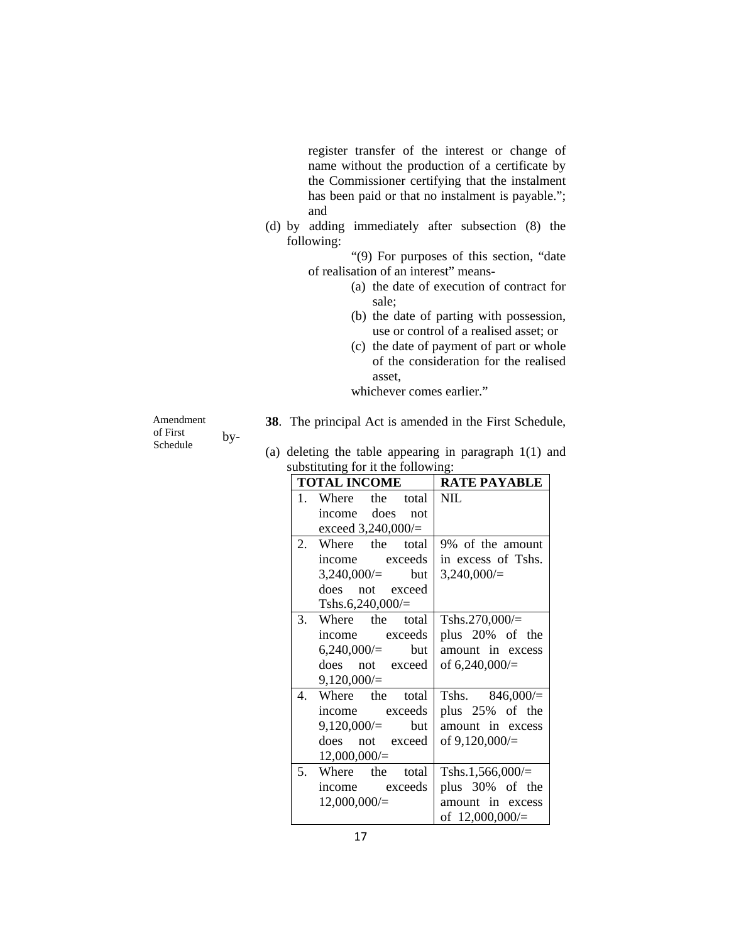register transfer of the interest or change of name without the production of a certificate by the Commissioner certifying that the instalment has been paid or that no instalment is payable."; and

(d) by adding immediately after subsection (8) the following:

> "(9) For purposes of this section, "date of realisation of an interest" means-

- (a) the date of execution of contract for sale;
- (b) the date of parting with possession, use or control of a realised asset; or
- (c) the date of payment of part or whole of the consideration for the realised asset,

whichever comes earlier."

Amendment of First Schedule by-

- **38**. The principal Act is amended in the First Schedule,
- (a) deleting the table appearing in paragraph 1(1) and substituting for it the following:

|         | <b>TOTAL INCOME</b>  | <b>RATE PAYABLE</b> |
|---------|----------------------|---------------------|
| $1_{-}$ | the total<br>Where   | <b>NIL</b>          |
|         | income does<br>not   |                     |
|         | exceed $3,240,000/=$ |                     |
| 2.      | Where the total      | 9% of the amount    |
|         | income exceeds       | in excess of Tshs.  |
|         | $3,240,000/=$ but    | 3,240,000/          |
|         | does not exceed      |                     |
|         | Tshs.6,240,000/ $=$  |                     |
| 3.      | Where the total      | Tshs.270,000/ $=$   |
|         | income exceeds       | plus 20% of the     |
|         | $6,240,000/=$ but    | amount in excess    |
|         | does not exceed      | of $6,240,000/$     |
|         | 9,120,000/           |                     |
| 4.      | Where the total      | Tshs. $846,000/$    |
|         | income exceeds       | plus 25% of the     |
|         | $9,120,000/=$ but    | amount in excess    |
|         | does not exceed      | of $9,120,000/$     |
|         | 12,000,000/          |                     |
| 5.      | Where the total      | Tshs.1,566,000/ $=$ |
|         | income exceeds       | plus 30% of the     |
|         | 12,000,000/          | amount in excess    |
|         |                      | of $12,000,000/$    |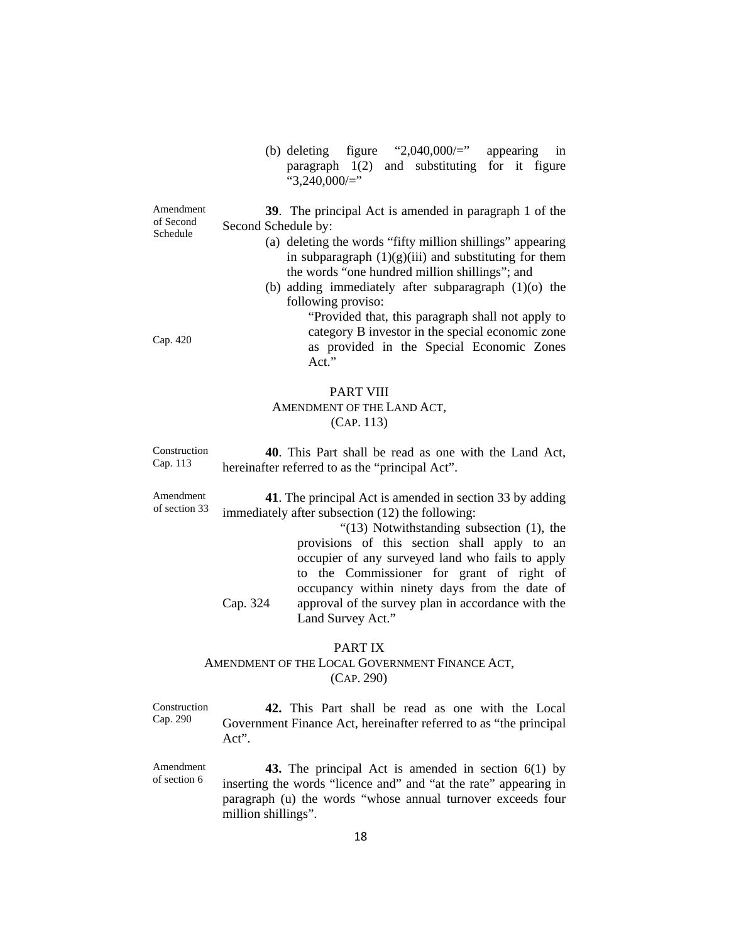(b) deleting figure "2,040,000/=" appearing in paragraph 1(2) and substituting for it figure " $3,240,000/$ ="

Amendment of Second Schedule **39**. The principal Act is amended in paragraph 1 of the Second Schedule by:

- (a) deleting the words "fifty million shillings" appearing in subparagraph  $(1)(g)(iii)$  and substituting for them the words "one hundred million shillings"; and
- (b) adding immediately after subparagraph (1)(o) the following proviso:

"Provided that, this paragraph shall not apply to category B investor in the special economic zone as provided in the Special Economic Zones Act."

## PART VIII AMENDMENT OF THE LAND ACT, (CAP. 113)

Construction Cap. 113 **40**. This Part shall be read as one with the Land Act, hereinafter referred to as the "principal Act".

Amendment of section 33 **41**. The principal Act is amended in section 33 by adding immediately after subsection (12) the following:

> Cap. 324 "(13) Notwithstanding subsection (1), the provisions of this section shall apply to an occupier of any surveyed land who fails to apply to the Commissioner for grant of right of occupancy within ninety days from the date of approval of the survey plan in accordance with the Land Survey Act."

## PART IX

## AMENDMENT OF THE LOCAL GOVERNMENT FINANCE ACT, (CAP. 290)

Construction Cap. 290 **42.** This Part shall be read as one with the Local Government Finance Act, hereinafter referred to as "the principal Act".

Amendment of section 6 **43.** The principal Act is amended in section 6(1) by inserting the words "licence and" and "at the rate" appearing in paragraph (u) the words "whose annual turnover exceeds four million shillings".

Cap. 420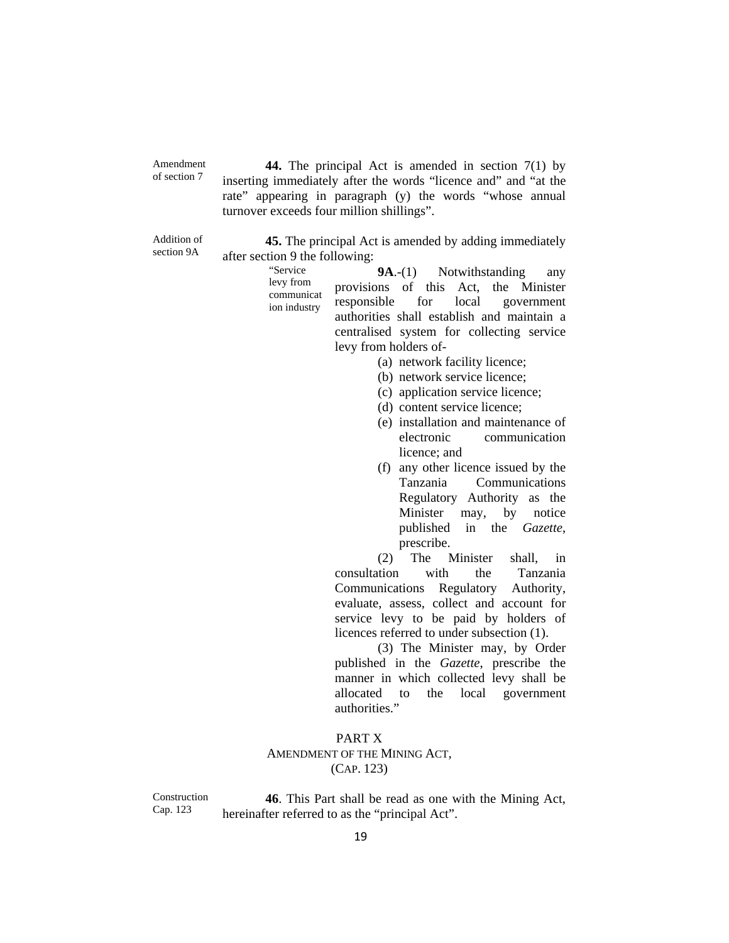Amendment of section 7

**44.** The principal Act is amended in section 7(1) by inserting immediately after the words "licence and" and "at the rate" appearing in paragraph (y) the words "whose annual turnover exceeds four million shillings".

Addition of section 9A

**45.** The principal Act is amended by adding immediately after section 9 the following:

> "Service levy from communicat ion industry

**9A**.-(1) Notwithstanding any provisions of this Act, the Minister responsible for local government authorities shall establish and maintain a centralised system for collecting service levy from holders of-

- (a) network facility licence;
- (b) network service licence;
- (c) application service licence;
- (d) content service licence;
- (e) installation and maintenance of electronic communication licence; and
- (f) any other licence issued by the Tanzania Communications Regulatory Authority as the Minister may, by notice published in the *Gazette*, prescribe.

(2) The Minister shall, in consultation with the Tanzania Communications Regulatory Authority, evaluate, assess, collect and account for service levy to be paid by holders of licences referred to under subsection (1).

(3) The Minister may, by Order published in the *Gazette*, prescribe the manner in which collected levy shall be allocated to the local government authorities."

#### PART X

## AMENDMENT OF THE MINING ACT, (CAP. 123)

Construction Cap. 123

**46**. This Part shall be read as one with the Mining Act, hereinafter referred to as the "principal Act".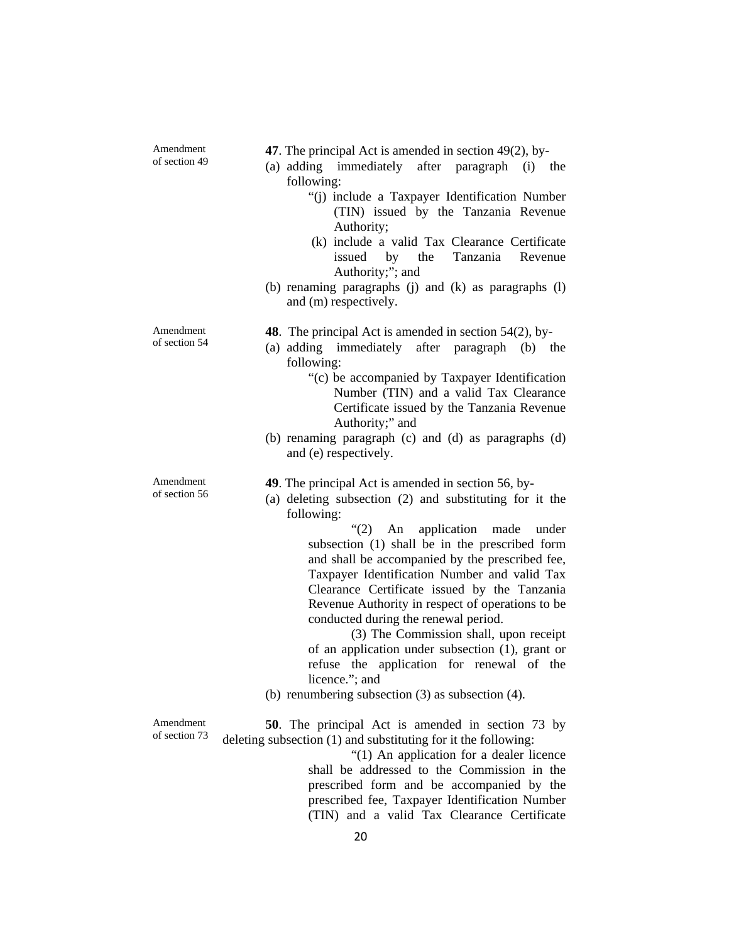Amendment of section 49

- **47**. The principal Act is amended in section 49(2), by-
- (a) adding immediately after paragraph (i) the following:
	- "(j) include a Taxpayer Identification Number (TIN) issued by the Tanzania Revenue Authority;
	- (k) include a valid Tax Clearance Certificate issued by the Tanzania Revenue Authority;"; and
- (b) renaming paragraphs (j) and (k) as paragraphs (l) and (m) respectively.

**48**. The principal Act is amended in section 54(2), by-

- (a) adding immediately after paragraph (b) the following:
	- "(c) be accompanied by Taxpayer Identification Number (TIN) and a valid Tax Clearance Certificate issued by the Tanzania Revenue Authority;" and
- (b) renaming paragraph (c) and (d) as paragraphs (d) and (e) respectively.

**49**. The principal Act is amended in section 56, by-

(a) deleting subsection (2) and substituting for it the following:

> "(2) An application made under subsection (1) shall be in the prescribed form and shall be accompanied by the prescribed fee, Taxpayer Identification Number and valid Tax Clearance Certificate issued by the Tanzania Revenue Authority in respect of operations to be conducted during the renewal period.

> (3) The Commission shall, upon receipt of an application under subsection (1), grant or refuse the application for renewal of the licence."; and

(b) renumbering subsection (3) as subsection (4).

Amendment of section 73

**50**. The principal Act is amended in section 73 by deleting subsection (1) and substituting for it the following:

"(1) An application for a dealer licence shall be addressed to the Commission in the prescribed form and be accompanied by the prescribed fee, Taxpayer Identification Number (TIN) and a valid Tax Clearance Certificate

Amendment of section 54

Amendment of section 56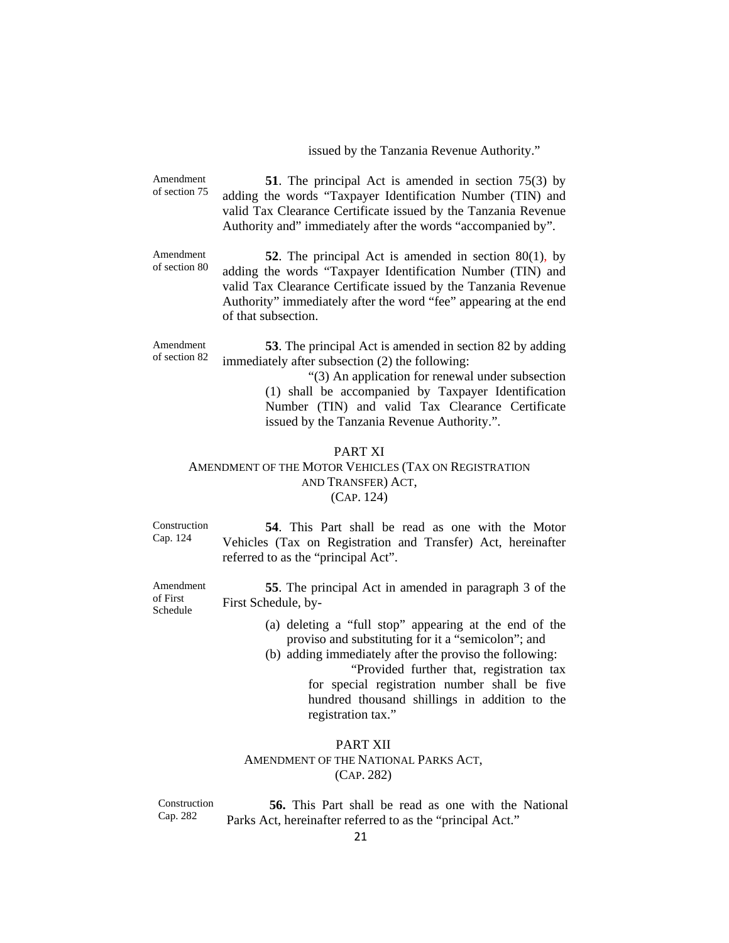issued by the Tanzania Revenue Authority."

Amendment of section 75 **51**. The principal Act is amended in section 75(3) by adding the words "Taxpayer Identification Number (TIN) and valid Tax Clearance Certificate issued by the Tanzania Revenue Authority and" immediately after the words "accompanied by".

Amendment of section 80 **52**. The principal Act is amended in section 80(1), by adding the words "Taxpayer Identification Number (TIN) and valid Tax Clearance Certificate issued by the Tanzania Revenue Authority" immediately after the word "fee" appearing at the end of that subsection.

Amendment of section 82 **53**. The principal Act is amended in section 82 by adding immediately after subsection (2) the following:

> "(3) An application for renewal under subsection (1) shall be accompanied by Taxpayer Identification Number (TIN) and valid Tax Clearance Certificate issued by the Tanzania Revenue Authority.".

## PART XI

### AMENDMENT OF THE MOTOR VEHICLES (TAX ON REGISTRATION AND TRANSFER) ACT, (CAP. 124)

Construction Cap. 124

Amendment of First Schedule

**54**. This Part shall be read as one with the Motor Vehicles (Tax on Registration and Transfer) Act, hereinafter referred to as the "principal Act".

**55**. The principal Act in amended in paragraph 3 of the First Schedule, by-

> (a) deleting a "full stop" appearing at the end of the proviso and substituting for it a "semicolon"; and

(b) adding immediately after the proviso the following:

"Provided further that, registration tax for special registration number shall be five hundred thousand shillings in addition to the registration tax."

## PART XII AMENDMENT OF THE NATIONAL PARKS ACT, (CAP. 282)

Construction Cap. 282 **56.** This Part shall be read as one with the National Parks Act, hereinafter referred to as the "principal Act."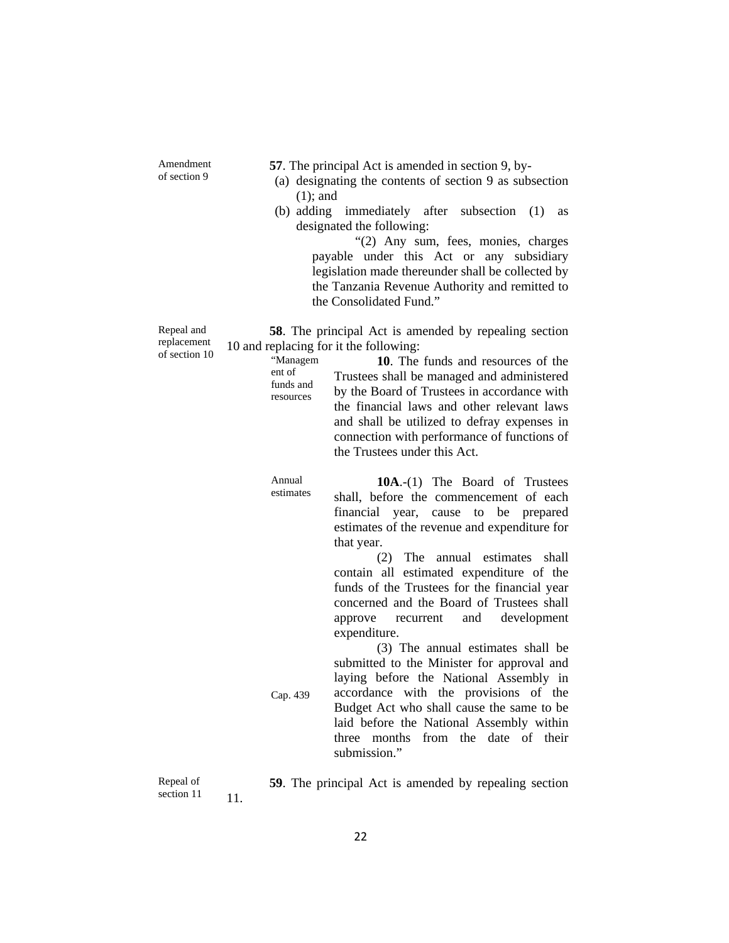Amendment of section 9

**57**. The principal Act is amended in section 9, by-

- (a) designating the contents of section 9 as subsection (1); and
- (b) adding immediately after subsection (1) as designated the following:

"(2) Any sum, fees, monies, charges payable under this Act or any subsidiary legislation made thereunder shall be collected by the Tanzania Revenue Authority and remitted to the Consolidated Fund."

**58**. The principal Act is amended by repealing section 10 and replacing for it the following:

"Managem ent of funds and resources **10**. The funds and resources of the Trustees shall be managed and administered by the Board of Trustees in accordance with the financial laws and other relevant laws and shall be utilized to defray expenses in connection with performance of functions of the Trustees under this Act.

Annual estimates

Cap. 439

**10A**.-(1) The Board of Trustees shall, before the commencement of each financial year, cause to be prepared estimates of the revenue and expenditure for that year.

(2) The annual estimates shall contain all estimated expenditure of the funds of the Trustees for the financial year concerned and the Board of Trustees shall approve recurrent and development expenditure.

(3) The annual estimates shall be submitted to the Minister for approval and laying before the National Assembly in accordance with the provisions of the Budget Act who shall cause the same to be laid before the National Assembly within three months from the date of their submission."

Repeal of section 11 11.

**59**. The principal Act is amended by repealing section

Repeal and replacement

of section 10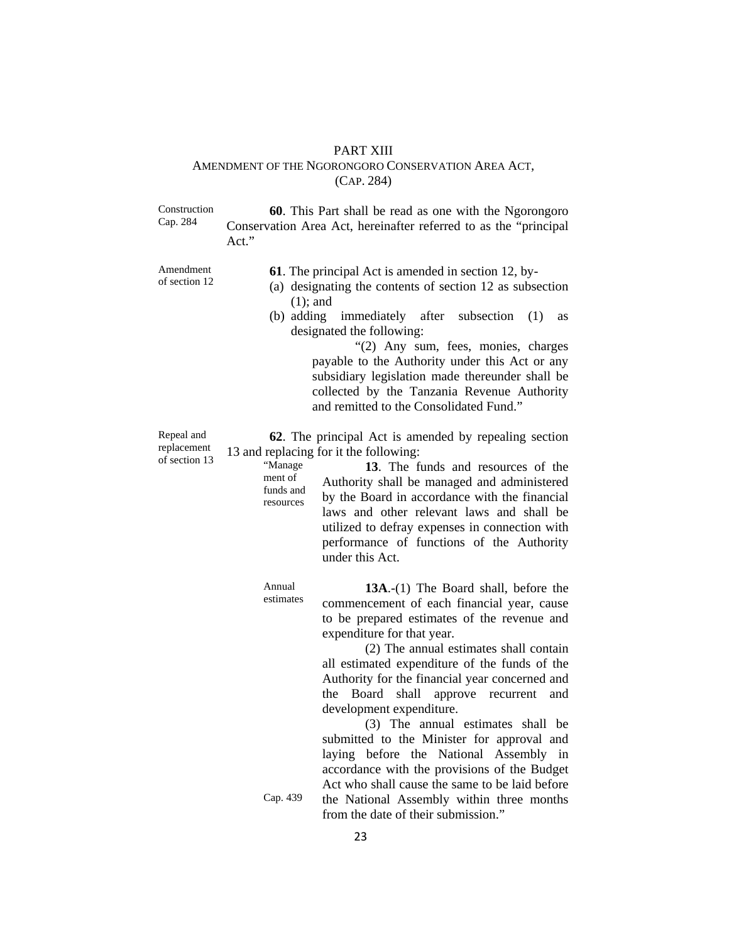#### PART XIII

#### AMENDMENT OF THE NGORONGORO CONSERVATION AREA ACT, (CAP. 284)

Construction Cap. 284 **60**. This Part shall be read as one with the Ngorongoro Conservation Area Act, hereinafter referred to as the "principal Act."

Amendment of section 12 **61**. The principal Act is amended in section 12, by-

- (a) designating the contents of section 12 as subsection (1); and
- (b) adding immediately after subsection (1) as designated the following:

"(2) Any sum, fees, monies, charges payable to the Authority under this Act or any subsidiary legislation made thereunder shall be collected by the Tanzania Revenue Authority and remitted to the Consolidated Fund."

**13**. The funds and resources of the

Repeal and replacement of section 13

**62**. The principal Act is amended by repealing section 13 and replacing for it the following:

> "Manage ment of funds and resources Authority shall be managed and administered by the Board in accordance with the financial laws and other relevant laws and shall be utilized to defray expenses in connection with performance of functions of the Authority under this Act.

Annual estimates

**13A**.-(1) The Board shall, before the commencement of each financial year, cause to be prepared estimates of the revenue and expenditure for that year.

(2) The annual estimates shall contain all estimated expenditure of the funds of the Authority for the financial year concerned and the Board shall approve recurrent and development expenditure.

(3) The annual estimates shall be submitted to the Minister for approval and laying before the National Assembly in accordance with the provisions of the Budget Act who shall cause the same to be laid before

Cap. 439 the National Assembly within three months from the date of their submission."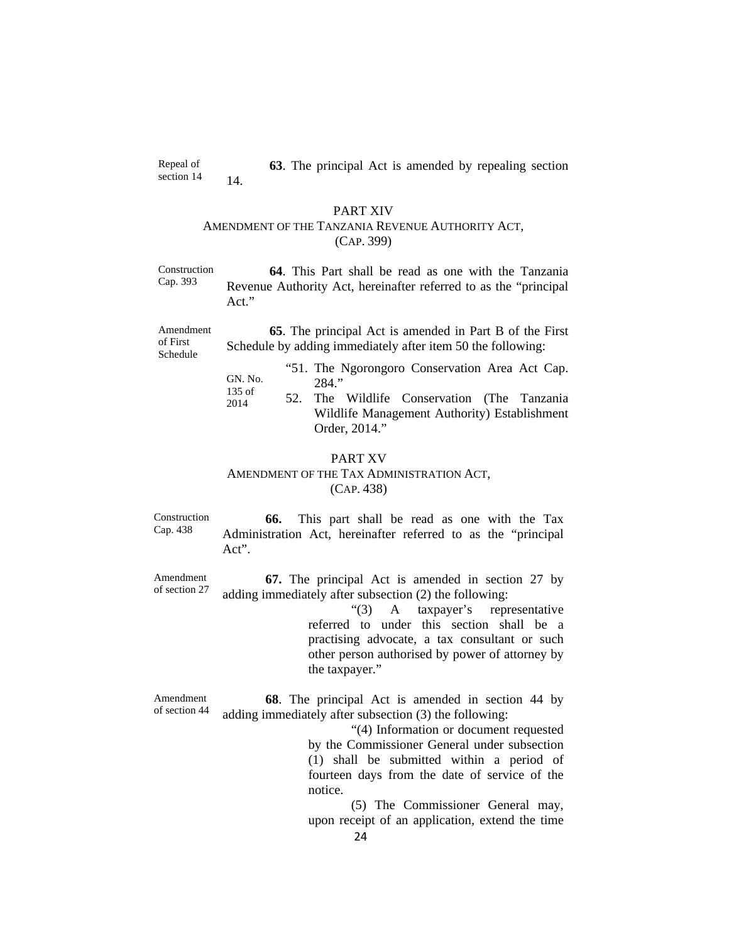Repeal of section 14 **63**. The principal Act is amended by repealing section 14.

#### PART XIV

#### AMENDMENT OF THE TANZANIA REVENUE AUTHORITY ACT, (CAP. 399)

Construction Cap. 393 **64**. This Part shall be read as one with the Tanzania Revenue Authority Act, hereinafter referred to as the "principal Act."

Amendment of First Schedule

**65**. The principal Act is amended in Part B of the First Schedule by adding immediately after item 50 the following:

- GN. No. 135 of "51. The Ngorongoro Conservation Area Act Cap. 284."
- 2014 52. The Wildlife Conservation (The Tanzania Wildlife Management Authority) Establishment Order, 2014."

#### PART XV

### AMENDMENT OF THE TAX ADMINISTRATION ACT, (CAP. 438)

Construction Cap. 438

**66.** This part shall be read as one with the Tax Administration Act, hereinafter referred to as the "principal Act".

Amendment of section 27 **67.** The principal Act is amended in section 27 by adding immediately after subsection (2) the following:

> "(3) A taxpayer's representative referred to under this section shall be a practising advocate, a tax consultant or such other person authorised by power of attorney by the taxpayer."

Amendment of section 44 **68**. The principal Act is amended in section 44 by adding immediately after subsection (3) the following:

> "(4) Information or document requested by the Commissioner General under subsection (1) shall be submitted within a period of fourteen days from the date of service of the notice.

> (5) The Commissioner General may, upon receipt of an application, extend the time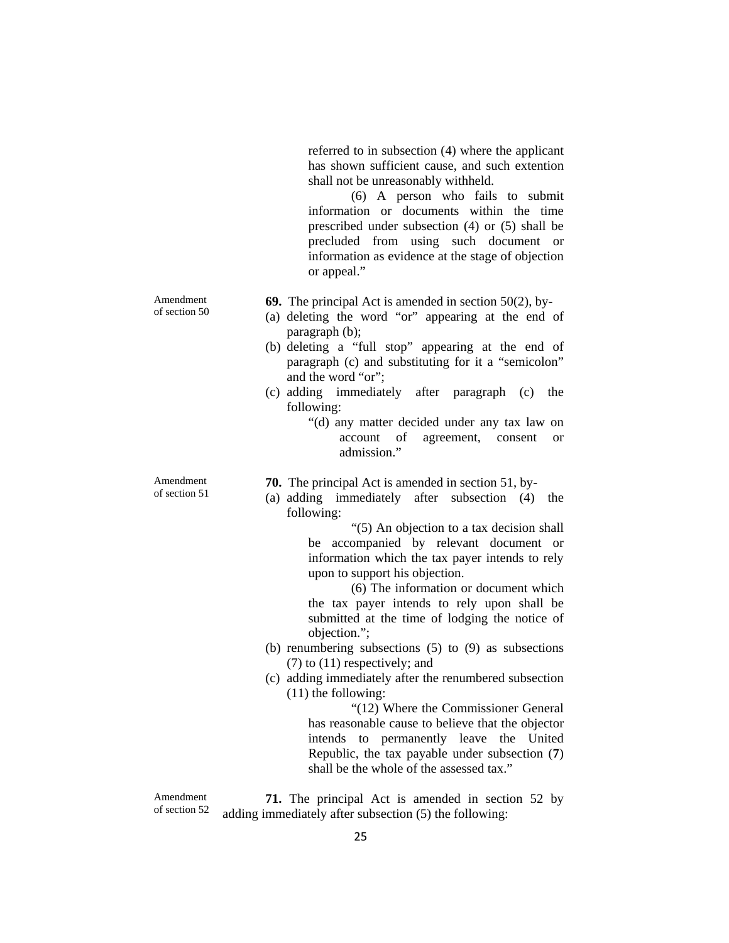referred to in subsection (4) where the applicant has shown sufficient cause, and such extention shall not be unreasonably withheld.

(6) A person who fails to submit information or documents within the time prescribed under subsection (4) or (5) shall be precluded from using such document or information as evidence at the stage of objection or appeal."

**69.** The principal Act is amended in section 50(2), by-

- (a) deleting the word "or" appearing at the end of paragraph (b);
- (b) deleting a "full stop" appearing at the end of paragraph (c) and substituting for it a "semicolon" and the word "or";
- (c) adding immediately after paragraph (c) the following:
	- "(d) any matter decided under any tax law on account of agreement, consent or admission."

**70.** The principal Act is amended in section 51, by-

(a) adding immediately after subsection (4) the following:

> "(5) An objection to a tax decision shall be accompanied by relevant document or information which the tax payer intends to rely upon to support his objection.

> (6) The information or document which the tax payer intends to rely upon shall be submitted at the time of lodging the notice of objection.";

- (b) renumbering subsections (5) to (9) as subsections (7) to (11) respectively; and
- (c) adding immediately after the renumbered subsection (11) the following:

"(12) Where the Commissioner General has reasonable cause to believe that the objector intends to permanently leave the United Republic, the tax payable under subsection (**7**) shall be the whole of the assessed tax."

**71.** The principal Act is amended in section 52 by adding immediately after subsection (5) the following:

Amendment of section 50

Amendment of section 51

25

Amendment of section 52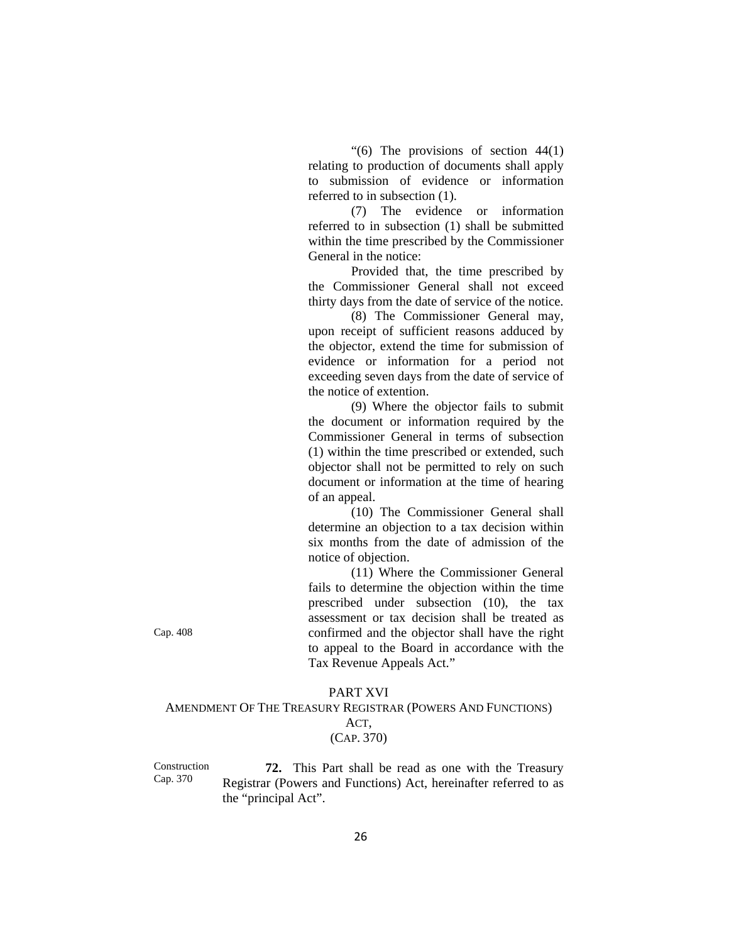"(6) The provisions of section  $44(1)$ relating to production of documents shall apply to submission of evidence or information referred to in subsection (1).

(7) The evidence or information referred to in subsection (1) shall be submitted within the time prescribed by the Commissioner General in the notice:

Provided that, the time prescribed by the Commissioner General shall not exceed thirty days from the date of service of the notice.

(8) The Commissioner General may, upon receipt of sufficient reasons adduced by the objector, extend the time for submission of evidence or information for a period not exceeding seven days from the date of service of the notice of extention.

(9) Where the objector fails to submit the document or information required by the Commissioner General in terms of subsection (1) within the time prescribed or extended, such objector shall not be permitted to rely on such document or information at the time of hearing of an appeal.

(10) The Commissioner General shall determine an objection to a tax decision within six months from the date of admission of the notice of objection.

(11) Where the Commissioner General fails to determine the objection within the time prescribed under subsection (10), the tax assessment or tax decision shall be treated as confirmed and the objector shall have the right to appeal to the Board in accordance with the Tax Revenue Appeals Act."

Cap. 408

## PART XVI AMENDMENT OF THE TREASURY REGISTRAR (POWERS AND FUNCTIONS) ACT, (CAP. 370)

Construction Cap. 370

**72.** This Part shall be read as one with the Treasury Registrar (Powers and Functions) Act, hereinafter referred to as the "principal Act".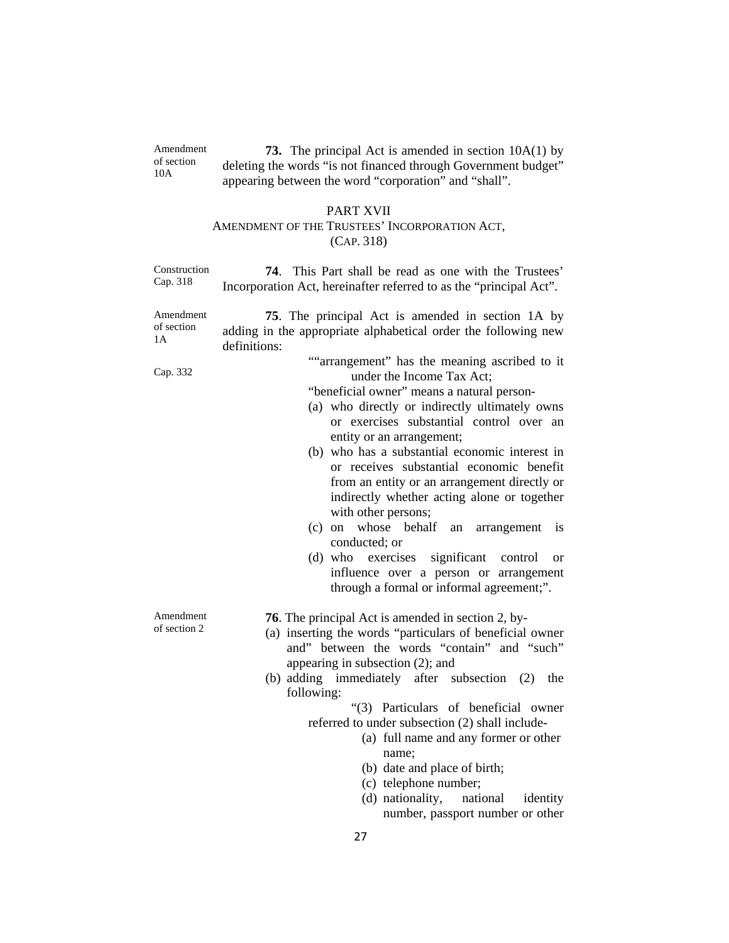|                               | PART XVII<br>AMENDMENT OF THE TRUSTEES' INCORPORATION ACT,<br>(CAP. 318)                                                                                                                                                                                                                                                                                                                                                                                                                                                                                                                                                                                                                           |  |  |  |
|-------------------------------|----------------------------------------------------------------------------------------------------------------------------------------------------------------------------------------------------------------------------------------------------------------------------------------------------------------------------------------------------------------------------------------------------------------------------------------------------------------------------------------------------------------------------------------------------------------------------------------------------------------------------------------------------------------------------------------------------|--|--|--|
| Construction<br>Cap. 318      | This Part shall be read as one with the Trustees'<br>74.<br>Incorporation Act, hereinafter referred to as the "principal Act".                                                                                                                                                                                                                                                                                                                                                                                                                                                                                                                                                                     |  |  |  |
| Amendment<br>of section<br>1А | 75. The principal Act is amended in section 1A by<br>adding in the appropriate alphabetical order the following new<br>definitions:                                                                                                                                                                                                                                                                                                                                                                                                                                                                                                                                                                |  |  |  |
| Cap. 332                      | ""arrangement" has the meaning ascribed to it<br>under the Income Tax Act;<br>"beneficial owner" means a natural person-<br>(a) who directly or indirectly ultimately owns<br>or exercises substantial control over an<br>entity or an arrangement;<br>(b) who has a substantial economic interest in<br>or receives substantial economic benefit<br>from an entity or an arrangement directly or<br>indirectly whether acting alone or together<br>with other persons;<br>(c) on whose behalf<br>arrangement<br><i>is</i><br>an<br>conducted; or<br>(d) who exercises significant control<br><sub>or</sub><br>influence over a person or arrangement<br>through a formal or informal agreement;". |  |  |  |
| Amendment<br>of section 2     | <b>76</b> . The principal Act is amended in section 2, by-<br>(a) inserting the words "particulars of beneficial owner<br>and" between the words "contain" and "such"<br>appearing in subsection (2); and<br>(b) adding immediately after subsection<br>(2)<br>the<br>following:<br>"(3) Particulars of beneficial owner<br>referred to under subsection (2) shall include-<br>(a) full name and any former or other<br>name;<br>(b) date and place of birth;<br>(c) telephone number;<br>(d) nationality,<br>national<br>identity                                                                                                                                                                 |  |  |  |

**73.** The principal Act is amended in section 10A(1) by deleting the words "is not financed through Government budget" appearing between the word "corporation" and "shall".

Amendment of section 10A

number, passport number or other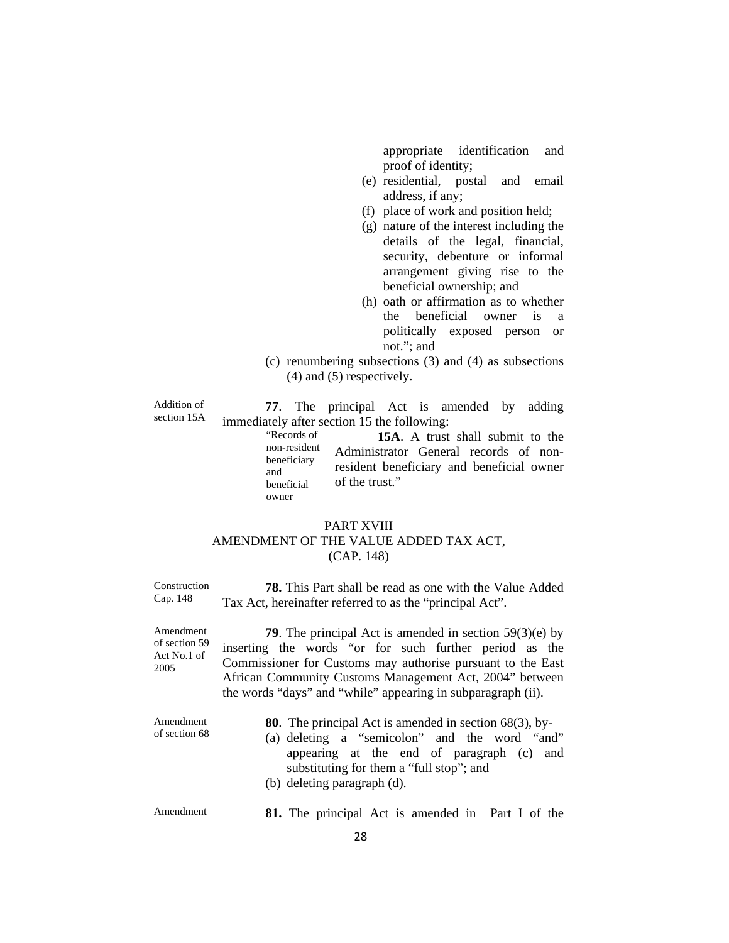appropriate identification and proof of identity;

- (e) residential, postal and email address, if any;
- (f) place of work and position held;
- (g) nature of the interest including the details of the legal, financial, security, debenture or informal arrangement giving rise to the beneficial ownership; and
- (h) oath or affirmation as to whether the beneficial owner is a politically exposed person or not."; and
- (c) renumbering subsections (3) and (4) as subsections (4) and (5) respectively.

Addition of section 15A

**77**. The principal Act is amended by adding immediately after section 15 the following:

"Records of non-resident beneficiary and beneficial owner **15A**. A trust shall submit to the Administrator General records of nonresident beneficiary and beneficial owner of the trust."

## PART XVIII

## AMENDMENT OF THE VALUE ADDED TAX ACT, (CAP. 148)

Construction Cap. 148 **78.** This Part shall be read as one with the Value Added Tax Act, hereinafter referred to as the "principal Act".

Amendment of section 59 Act No.1 of 2005 **79**. The principal Act is amended in section 59(3)(e) by inserting the words "or for such further period as the Commissioner for Customs may authorise pursuant to the East African Community Customs Management Act, 2004" between the words "days" and "while" appearing in subparagraph (ii).

| Amendment     | <b>80</b> . The principal Act is amended in section $68(3)$ , by- |  |
|---------------|-------------------------------------------------------------------|--|
| of section 68 | (a) deleting a "semicolon" and the word "and"                     |  |
|               | appearing at the end of paragraph (c) and                         |  |
|               | substituting for them a "full stop"; and                          |  |
|               | (b) deleting paragraph (d).                                       |  |
|               |                                                                   |  |

Amendment **81.** The principal Act is amended in Part I of the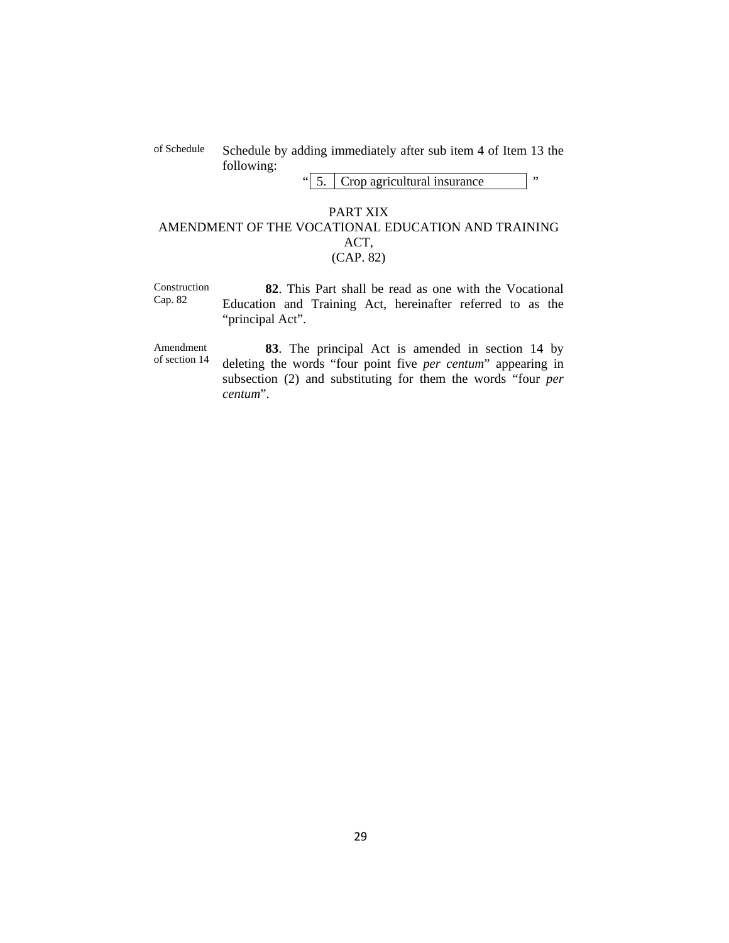## of Schedule Schedule by adding immediately after sub item 4 of Item 13 the following:

" 5. Crop agricultural insurance "

## PART XIX AMENDMENT OF THE VOCATIONAL EDUCATION AND TRAINING ACT, (CAP. 82)

Construction Cap. 82 **82**. This Part shall be read as one with the Vocational Education and Training Act, hereinafter referred to as the "principal Act".

Amendment of section 14

**83**. The principal Act is amended in section 14 by deleting the words "four point five *per centum*" appearing in subsection (2) and substituting for them the words "four *per centum*".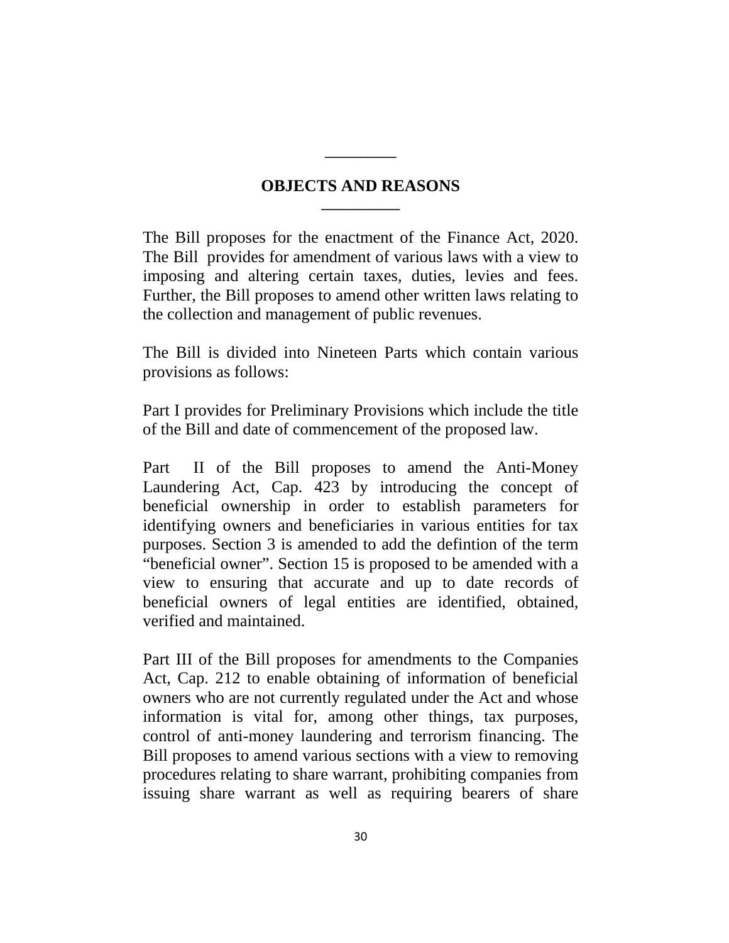## **OBJECTS AND REASONS \_\_\_\_\_\_\_\_\_\_\_**

**\_\_\_\_\_\_\_\_\_\_**

The Bill proposes for the enactment of the Finance Act, 2020. The Bill provides for amendment of various laws with a view to imposing and altering certain taxes, duties, levies and fees. Further, the Bill proposes to amend other written laws relating to the collection and management of public revenues.

The Bill is divided into Nineteen Parts which contain various provisions as follows:

Part I provides for Preliminary Provisions which include the title of the Bill and date of commencement of the proposed law.

Part II of the Bill proposes to amend the Anti-Money Laundering Act, Cap. 423 by introducing the concept of beneficial ownership in order to establish parameters for identifying owners and beneficiaries in various entities for tax purposes. Section 3 is amended to add the defintion of the term "beneficial owner". Section 15 is proposed to be amended with a view to ensuring that accurate and up to date records of beneficial owners of legal entities are identified, obtained, verified and maintained.

Part III of the Bill proposes for amendments to the Companies Act, Cap. 212 to enable obtaining of information of beneficial owners who are not currently regulated under the Act and whose information is vital for, among other things, tax purposes, control of anti-money laundering and terrorism financing. The Bill proposes to amend various sections with a view to removing procedures relating to share warrant, prohibiting companies from issuing share warrant as well as requiring bearers of share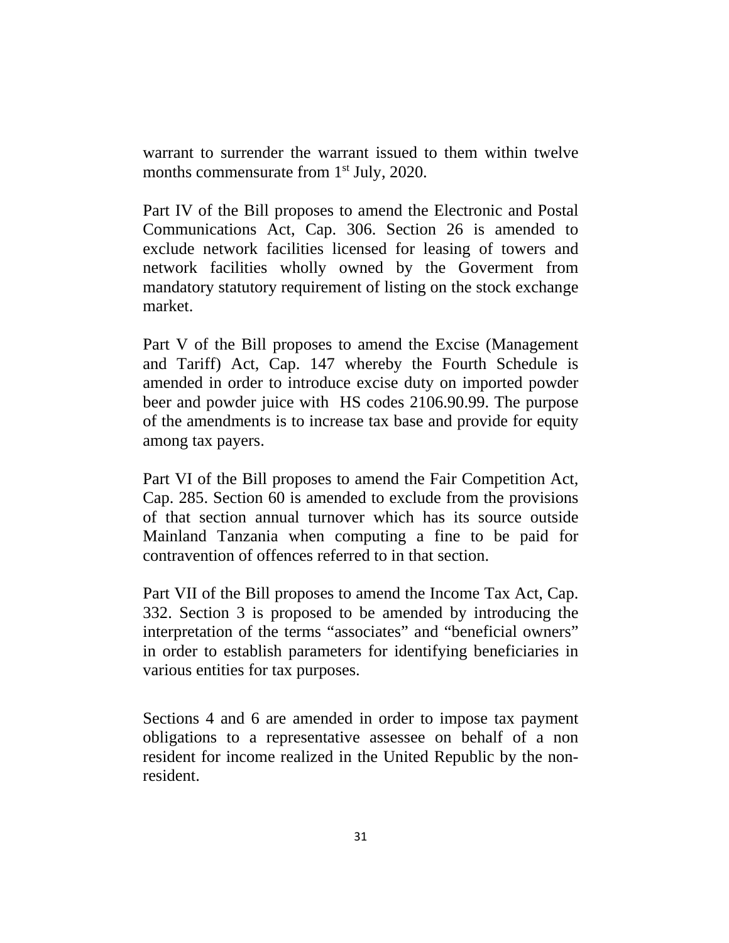warrant to surrender the warrant issued to them within twelve months commensurate from 1<sup>st</sup> July, 2020.

Part IV of the Bill proposes to amend the Electronic and Postal Communications Act, Cap. 306. Section 26 is amended to exclude network facilities licensed for leasing of towers and network facilities wholly owned by the Goverment from mandatory statutory requirement of listing on the stock exchange market.

Part V of the Bill proposes to amend the Excise (Management and Tariff) Act, Cap. 147 whereby the Fourth Schedule is amended in order to introduce excise duty on imported powder beer and powder juice with HS codes 2106.90.99. The purpose of the amendments is to increase tax base and provide for equity among tax payers.

Part VI of the Bill proposes to amend the Fair Competition Act, Cap. 285. Section 60 is amended to exclude from the provisions of that section annual turnover which has its source outside Mainland Tanzania when computing a fine to be paid for contravention of offences referred to in that section.

Part VII of the Bill proposes to amend the Income Tax Act, Cap. 332. Section 3 is proposed to be amended by introducing the interpretation of the terms "associates" and "beneficial owners" in order to establish parameters for identifying beneficiaries in various entities for tax purposes.

Sections 4 and 6 are amended in order to impose tax payment obligations to a representative assessee on behalf of a non resident for income realized in the United Republic by the nonresident.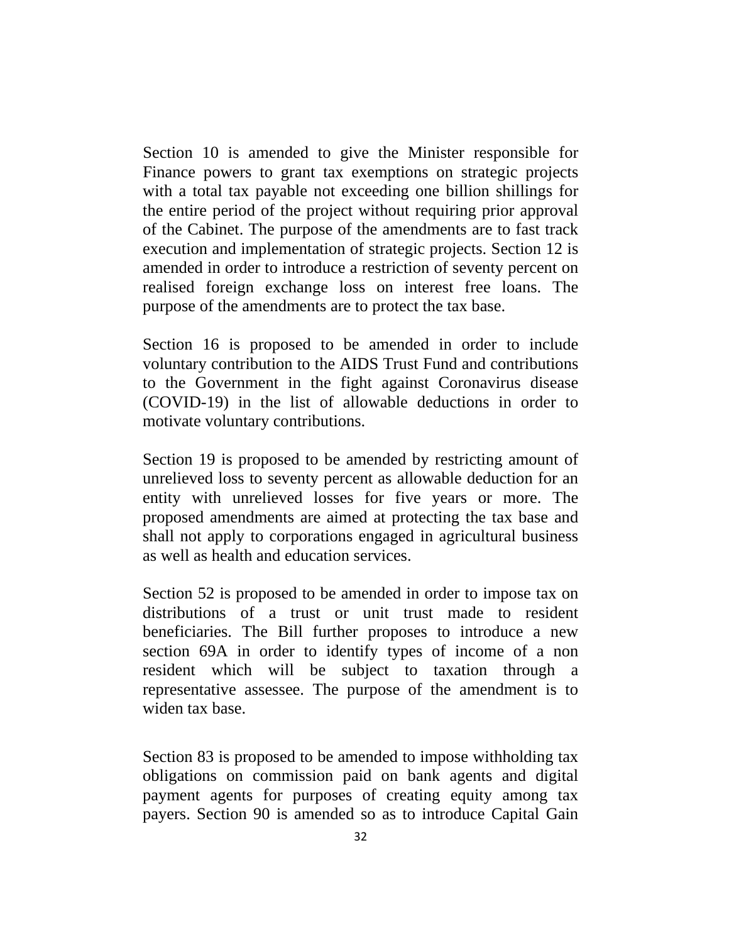Section 10 is amended to give the Minister responsible for Finance powers to grant tax exemptions on strategic projects with a total tax payable not exceeding one billion shillings for the entire period of the project without requiring prior approval of the Cabinet. The purpose of the amendments are to fast track execution and implementation of strategic projects. Section 12 is amended in order to introduce a restriction of seventy percent on realised foreign exchange loss on interest free loans. The purpose of the amendments are to protect the tax base.

Section 16 is proposed to be amended in order to include voluntary contribution to the AIDS Trust Fund and contributions to the Government in the fight against Coronavirus disease (COVID-19) in the list of allowable deductions in order to motivate voluntary contributions.

Section 19 is proposed to be amended by restricting amount of unrelieved loss to seventy percent as allowable deduction for an entity with unrelieved losses for five years or more. The proposed amendments are aimed at protecting the tax base and shall not apply to corporations engaged in agricultural business as well as health and education services.

Section 52 is proposed to be amended in order to impose tax on distributions of a trust or unit trust made to resident beneficiaries. The Bill further proposes to introduce a new section 69A in order to identify types of income of a non resident which will be subject to taxation through a representative assessee. The purpose of the amendment is to widen tax base.

Section 83 is proposed to be amended to impose withholding tax obligations on commission paid on bank agents and digital payment agents for purposes of creating equity among tax payers. Section 90 is amended so as to introduce Capital Gain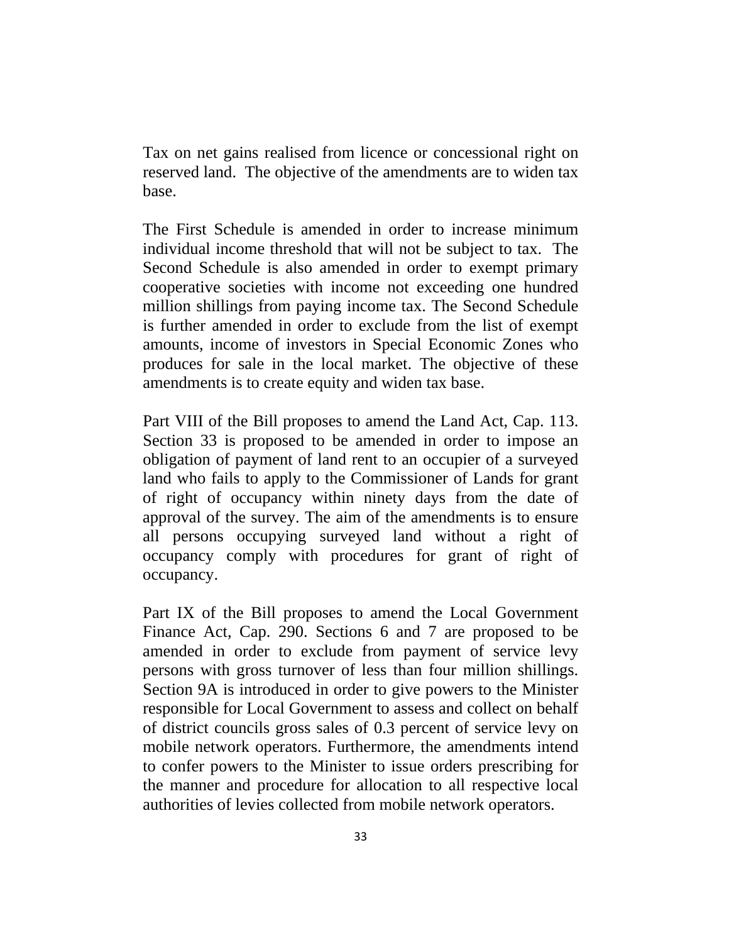Tax on net gains realised from licence or concessional right on reserved land. The objective of the amendments are to widen tax base.

The First Schedule is amended in order to increase minimum individual income threshold that will not be subject to tax. The Second Schedule is also amended in order to exempt primary cooperative societies with income not exceeding one hundred million shillings from paying income tax. The Second Schedule is further amended in order to exclude from the list of exempt amounts, income of investors in Special Economic Zones who produces for sale in the local market. The objective of these amendments is to create equity and widen tax base.

Part VIII of the Bill proposes to amend the Land Act, Cap. 113. Section 33 is proposed to be amended in order to impose an obligation of payment of land rent to an occupier of a surveyed land who fails to apply to the Commissioner of Lands for grant of right of occupancy within ninety days from the date of approval of the survey. The aim of the amendments is to ensure all persons occupying surveyed land without a right of occupancy comply with procedures for grant of right of occupancy.

Part IX of the Bill proposes to amend the Local Government Finance Act, Cap. 290. Sections 6 and 7 are proposed to be amended in order to exclude from payment of service levy persons with gross turnover of less than four million shillings. Section 9A is introduced in order to give powers to the Minister responsible for Local Government to assess and collect on behalf of district councils gross sales of 0.3 percent of service levy on mobile network operators. Furthermore, the amendments intend to confer powers to the Minister to issue orders prescribing for the manner and procedure for allocation to all respective local authorities of levies collected from mobile network operators.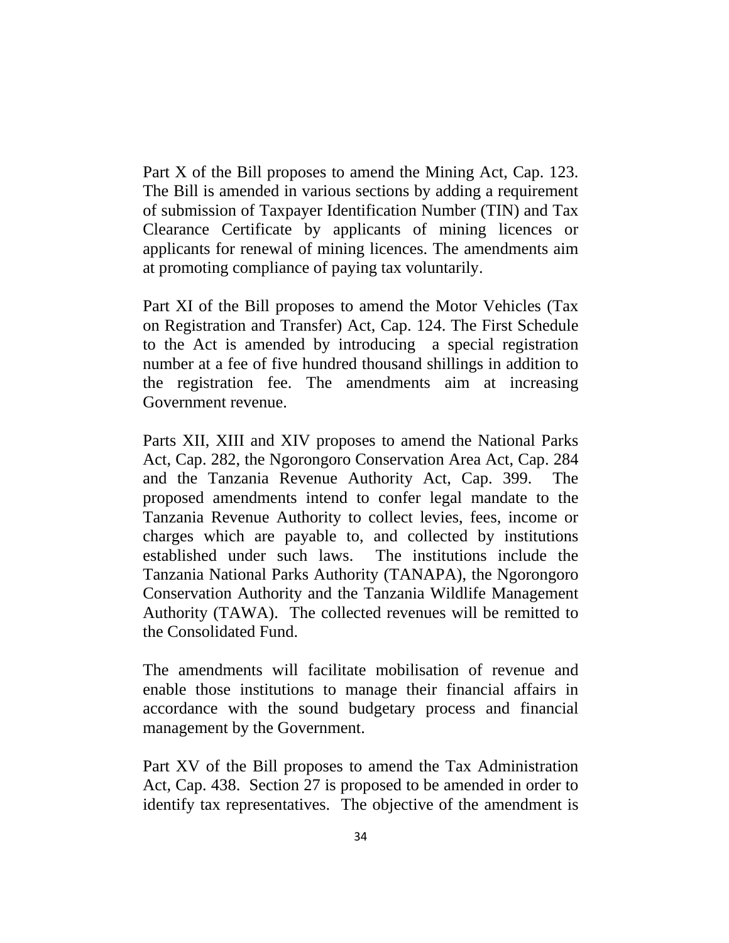Part X of the Bill proposes to amend the Mining Act, Cap. 123. The Bill is amended in various sections by adding a requirement of submission of Taxpayer Identification Number (TIN) and Tax Clearance Certificate by applicants of mining licences or applicants for renewal of mining licences. The amendments aim at promoting compliance of paying tax voluntarily.

Part XI of the Bill proposes to amend the Motor Vehicles (Tax on Registration and Transfer) Act, Cap. 124. The First Schedule to the Act is amended by introducing a special registration number at a fee of five hundred thousand shillings in addition to the registration fee. The amendments aim at increasing Government revenue.

Parts XII, XIII and XIV proposes to amend the National Parks Act, Cap. 282, the Ngorongoro Conservation Area Act, Cap. 284 and the Tanzania Revenue Authority Act, Cap. 399. The proposed amendments intend to confer legal mandate to the Tanzania Revenue Authority to collect levies, fees, income or charges which are payable to, and collected by institutions established under such laws. The institutions include the Tanzania National Parks Authority (TANAPA), the Ngorongoro Conservation Authority and the Tanzania Wildlife Management Authority (TAWA). The collected revenues will be remitted to the Consolidated Fund.

The amendments will facilitate mobilisation of revenue and enable those institutions to manage their financial affairs in accordance with the sound budgetary process and financial management by the Government.

Part XV of the Bill proposes to amend the Tax Administration Act, Cap. 438. Section 27 is proposed to be amended in order to identify tax representatives. The objective of the amendment is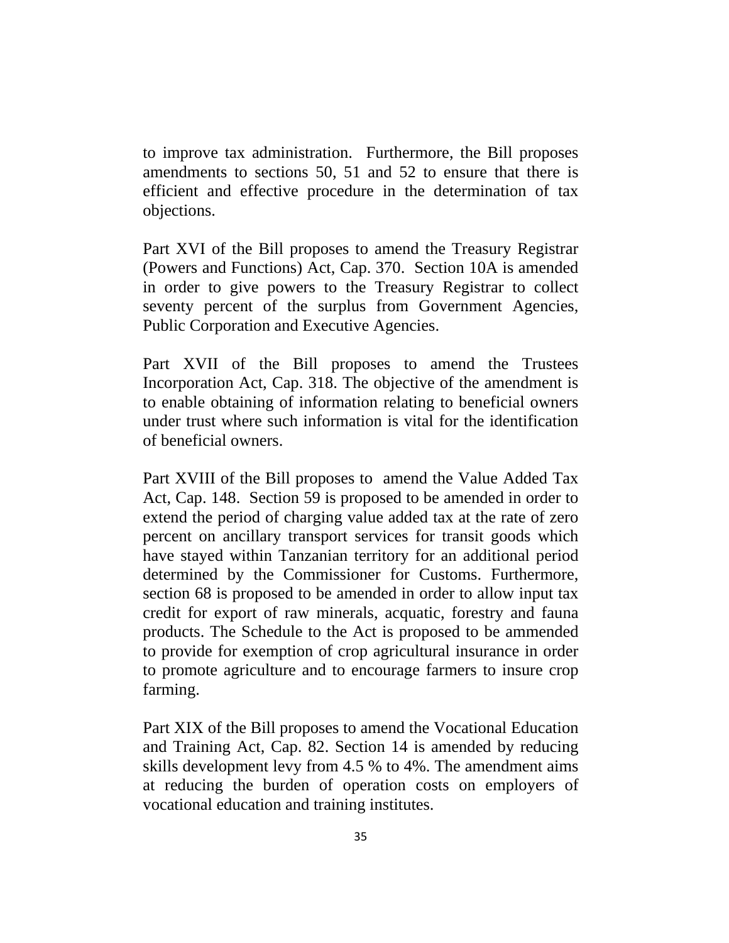to improve tax administration. Furthermore, the Bill proposes amendments to sections 50, 51 and 52 to ensure that there is efficient and effective procedure in the determination of tax objections.

Part XVI of the Bill proposes to amend the Treasury Registrar (Powers and Functions) Act, Cap. 370. Section 10A is amended in order to give powers to the Treasury Registrar to collect seventy percent of the surplus from Government Agencies, Public Corporation and Executive Agencies.

Part XVII of the Bill proposes to amend the Trustees Incorporation Act, Cap. 318. The objective of the amendment is to enable obtaining of information relating to beneficial owners under trust where such information is vital for the identification of beneficial owners.

Part XVIII of the Bill proposes to amend the Value Added Tax Act, Cap. 148. Section 59 is proposed to be amended in order to extend the period of charging value added tax at the rate of zero percent on ancillary transport services for transit goods which have stayed within Tanzanian territory for an additional period determined by the Commissioner for Customs. Furthermore, section 68 is proposed to be amended in order to allow input tax credit for export of raw minerals, acquatic, forestry and fauna products. The Schedule to the Act is proposed to be ammended to provide for exemption of crop agricultural insurance in order to promote agriculture and to encourage farmers to insure crop farming.

Part XIX of the Bill proposes to amend the Vocational Education and Training Act, Cap. 82. Section 14 is amended by reducing skills development levy from 4.5 % to 4%. The amendment aims at reducing the burden of operation costs on employers of vocational education and training institutes.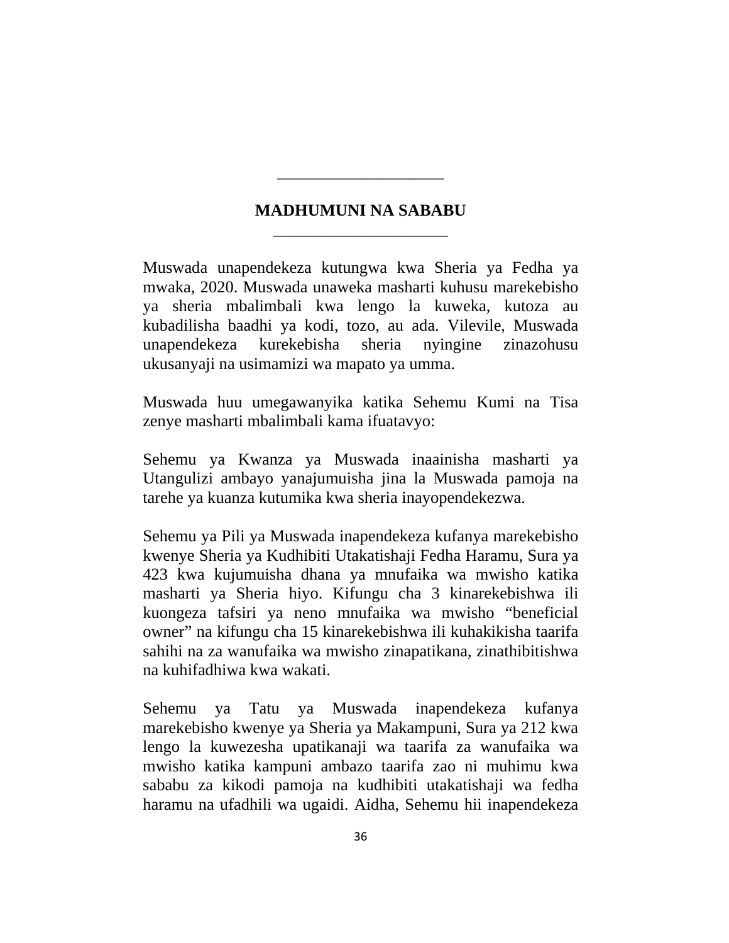# **MADHUMUNI NA SABABU** \_\_\_\_\_\_\_\_\_\_\_\_\_\_\_\_\_\_\_\_\_

\_\_\_\_\_\_\_\_\_\_\_\_\_\_\_\_\_\_\_\_

Muswada unapendekeza kutungwa kwa Sheria ya Fedha ya mwaka, 2020. Muswada unaweka masharti kuhusu marekebisho ya sheria mbalimbali kwa lengo la kuweka, kutoza au kubadilisha baadhi ya kodi, tozo, au ada. Vilevile, Muswada unapendekeza kurekebisha sheria nyingine zinazohusu ukusanyaji na usimamizi wa mapato ya umma.

Muswada huu umegawanyika katika Sehemu Kumi na Tisa zenye masharti mbalimbali kama ifuatavyo:

Sehemu ya Kwanza ya Muswada inaainisha masharti ya Utangulizi ambayo yanajumuisha jina la Muswada pamoja na tarehe ya kuanza kutumika kwa sheria inayopendekezwa.

Sehemu ya Pili ya Muswada inapendekeza kufanya marekebisho kwenye Sheria ya Kudhibiti Utakatishaji Fedha Haramu, Sura ya 423 kwa kujumuisha dhana ya mnufaika wa mwisho katika masharti ya Sheria hiyo. Kifungu cha 3 kinarekebishwa ili kuongeza tafsiri ya neno mnufaika wa mwisho "beneficial owner" na kifungu cha 15 kinarekebishwa ili kuhakikisha taarifa sahihi na za wanufaika wa mwisho zinapatikana, zinathibitishwa na kuhifadhiwa kwa wakati.

Sehemu ya Tatu ya Muswada inapendekeza kufanya marekebisho kwenye ya Sheria ya Makampuni, Sura ya 212 kwa lengo la kuwezesha upatikanaji wa taarifa za wanufaika wa mwisho katika kampuni ambazo taarifa zao ni muhimu kwa sababu za kikodi pamoja na kudhibiti utakatishaji wa fedha haramu na ufadhili wa ugaidi. Aidha, Sehemu hii inapendekeza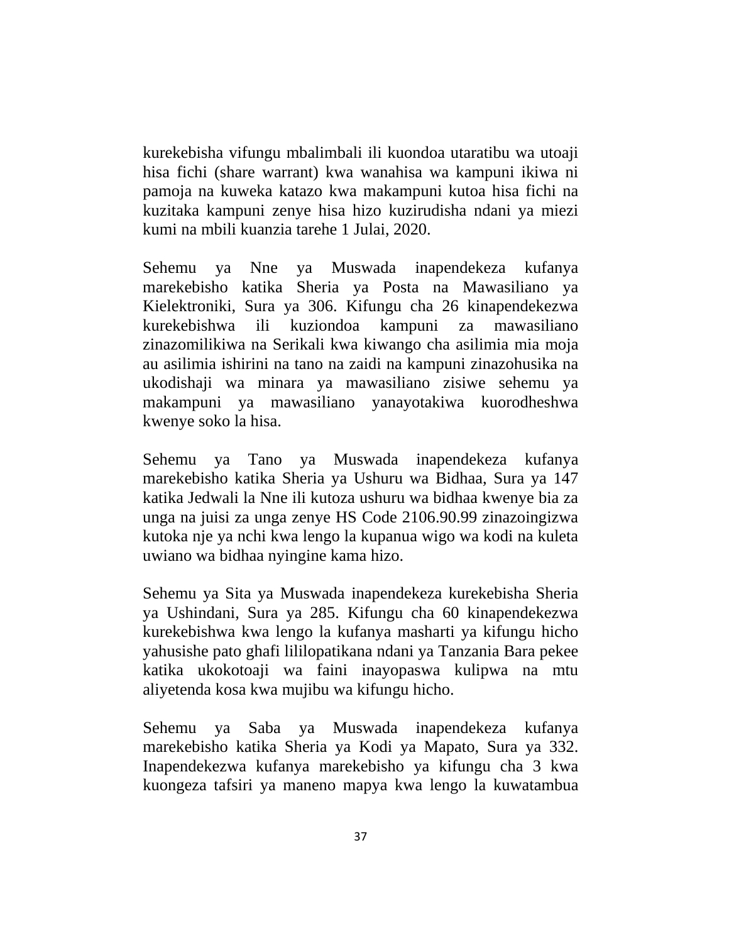kurekebisha vifungu mbalimbali ili kuondoa utaratibu wa utoaji hisa fichi (share warrant) kwa wanahisa wa kampuni ikiwa ni pamoja na kuweka katazo kwa makampuni kutoa hisa fichi na kuzitaka kampuni zenye hisa hizo kuzirudisha ndani ya miezi kumi na mbili kuanzia tarehe 1 Julai, 2020.

Sehemu ya Nne ya Muswada inapendekeza kufanya marekebisho katika Sheria ya Posta na Mawasiliano ya Kielektroniki, Sura ya 306. Kifungu cha 26 kinapendekezwa kurekebishwa ili kuziondoa kampuni za mawasiliano zinazomilikiwa na Serikali kwa kiwango cha asilimia mia moja au asilimia ishirini na tano na zaidi na kampuni zinazohusika na ukodishaji wa minara ya mawasiliano zisiwe sehemu ya makampuni ya mawasiliano yanayotakiwa kuorodheshwa kwenye soko la hisa.

Sehemu ya Tano ya Muswada inapendekeza kufanya marekebisho katika Sheria ya Ushuru wa Bidhaa, Sura ya 147 katika Jedwali la Nne ili kutoza ushuru wa bidhaa kwenye bia za unga na juisi za unga zenye HS Code 2106.90.99 zinazoingizwa kutoka nje ya nchi kwa lengo la kupanua wigo wa kodi na kuleta uwiano wa bidhaa nyingine kama hizo.

Sehemu ya Sita ya Muswada inapendekeza kurekebisha Sheria ya Ushindani, Sura ya 285. Kifungu cha 60 kinapendekezwa kurekebishwa kwa lengo la kufanya masharti ya kifungu hicho yahusishe pato ghafi lililopatikana ndani ya Tanzania Bara pekee katika ukokotoaji wa faini inayopaswa kulipwa na mtu aliyetenda kosa kwa mujibu wa kifungu hicho.

Sehemu ya Saba ya Muswada inapendekeza kufanya marekebisho katika Sheria ya Kodi ya Mapato, Sura ya 332. Inapendekezwa kufanya marekebisho ya kifungu cha 3 kwa kuongeza tafsiri ya maneno mapya kwa lengo la kuwatambua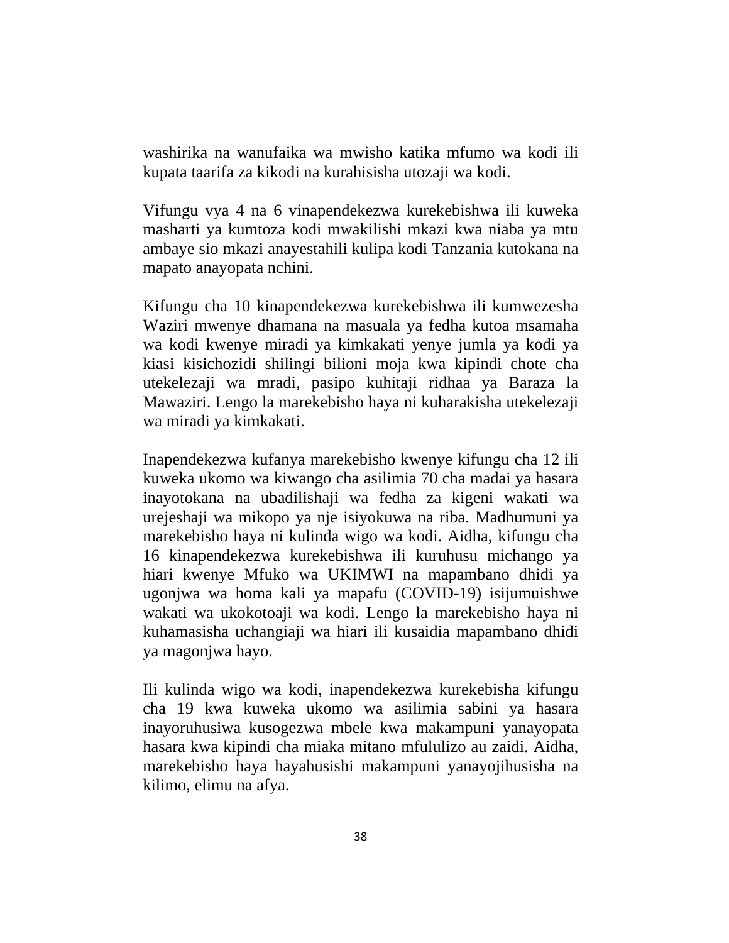washirika na wanufaika wa mwisho katika mfumo wa kodi ili kupata taarifa za kikodi na kurahisisha utozaji wa kodi.

Vifungu vya 4 na 6 vinapendekezwa kurekebishwa ili kuweka masharti ya kumtoza kodi mwakilishi mkazi kwa niaba ya mtu ambaye sio mkazi anayestahili kulipa kodi Tanzania kutokana na mapato anayopata nchini.

Kifungu cha 10 kinapendekezwa kurekebishwa ili kumwezesha Waziri mwenye dhamana na masuala ya fedha kutoa msamaha wa kodi kwenye miradi ya kimkakati yenye jumla ya kodi ya kiasi kisichozidi shilingi bilioni moja kwa kipindi chote cha utekelezaji wa mradi, pasipo kuhitaji ridhaa ya Baraza la Mawaziri. Lengo la marekebisho haya ni kuharakisha utekelezaji wa miradi ya kimkakati.

Inapendekezwa kufanya marekebisho kwenye kifungu cha 12 ili kuweka ukomo wa kiwango cha asilimia 70 cha madai ya hasara inayotokana na ubadilishaji wa fedha za kigeni wakati wa urejeshaji wa mikopo ya nje isiyokuwa na riba. Madhumuni ya marekebisho haya ni kulinda wigo wa kodi. Aidha, kifungu cha 16 kinapendekezwa kurekebishwa ili kuruhusu michango ya hiari kwenye Mfuko wa UKIMWI na mapambano dhidi ya ugonjwa wa homa kali ya mapafu (COVID-19) isijumuishwe wakati wa ukokotoaji wa kodi. Lengo la marekebisho haya ni kuhamasisha uchangiaji wa hiari ili kusaidia mapambano dhidi ya magonjwa hayo.

Ili kulinda wigo wa kodi, inapendekezwa kurekebisha kifungu cha 19 kwa kuweka ukomo wa asilimia sabini ya hasara inayoruhusiwa kusogezwa mbele kwa makampuni yanayopata hasara kwa kipindi cha miaka mitano mfululizo au zaidi. Aidha, marekebisho haya hayahusishi makampuni yanayojihusisha na kilimo, elimu na afya.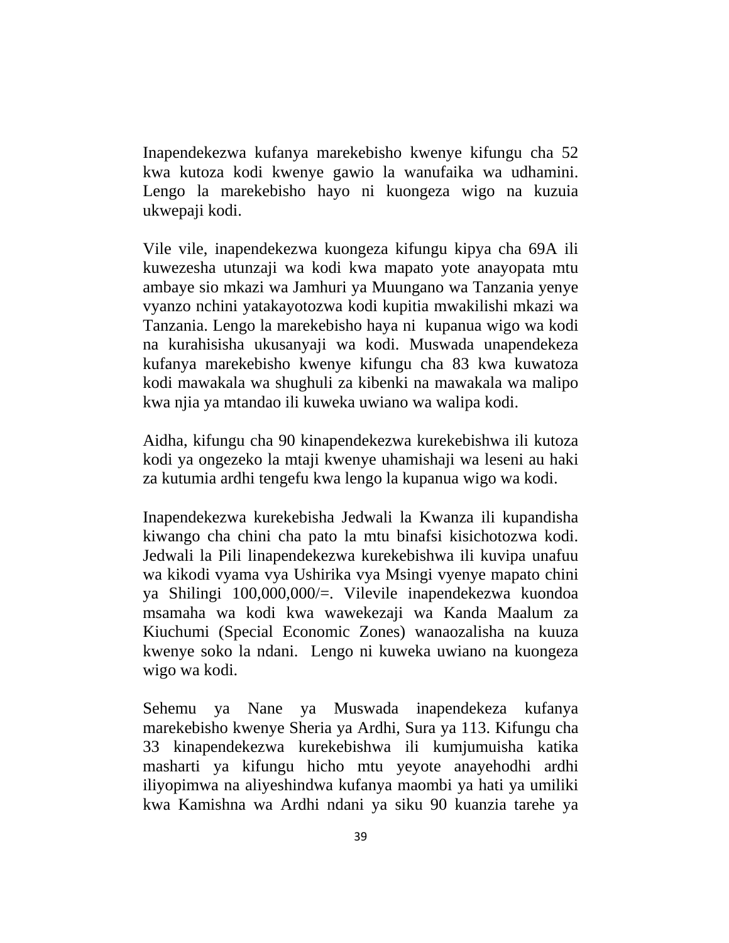Inapendekezwa kufanya marekebisho kwenye kifungu cha 52 kwa kutoza kodi kwenye gawio la wanufaika wa udhamini. Lengo la marekebisho hayo ni kuongeza wigo na kuzuia ukwepaji kodi.

Vile vile, inapendekezwa kuongeza kifungu kipya cha 69A ili kuwezesha utunzaji wa kodi kwa mapato yote anayopata mtu ambaye sio mkazi wa Jamhuri ya Muungano wa Tanzania yenye vyanzo nchini yatakayotozwa kodi kupitia mwakilishi mkazi wa Tanzania. Lengo la marekebisho haya ni kupanua wigo wa kodi na kurahisisha ukusanyaji wa kodi. Muswada unapendekeza kufanya marekebisho kwenye kifungu cha 83 kwa kuwatoza kodi mawakala wa shughuli za kibenki na mawakala wa malipo kwa njia ya mtandao ili kuweka uwiano wa walipa kodi.

Aidha, kifungu cha 90 kinapendekezwa kurekebishwa ili kutoza kodi ya ongezeko la mtaji kwenye uhamishaji wa leseni au haki za kutumia ardhi tengefu kwa lengo la kupanua wigo wa kodi.

Inapendekezwa kurekebisha Jedwali la Kwanza ili kupandisha kiwango cha chini cha pato la mtu binafsi kisichotozwa kodi. Jedwali la Pili linapendekezwa kurekebishwa ili kuvipa unafuu wa kikodi vyama vya Ushirika vya Msingi vyenye mapato chini ya Shilingi 100,000,000/=. Vilevile inapendekezwa kuondoa msamaha wa kodi kwa wawekezaji wa Kanda Maalum za Kiuchumi (Special Economic Zones) wanaozalisha na kuuza kwenye soko la ndani. Lengo ni kuweka uwiano na kuongeza wigo wa kodi.

Sehemu ya Nane ya Muswada inapendekeza kufanya marekebisho kwenye Sheria ya Ardhi, Sura ya 113. Kifungu cha 33 kinapendekezwa kurekebishwa ili kumjumuisha katika masharti ya kifungu hicho mtu yeyote anayehodhi ardhi iliyopimwa na aliyeshindwa kufanya maombi ya hati ya umiliki kwa Kamishna wa Ardhi ndani ya siku 90 kuanzia tarehe ya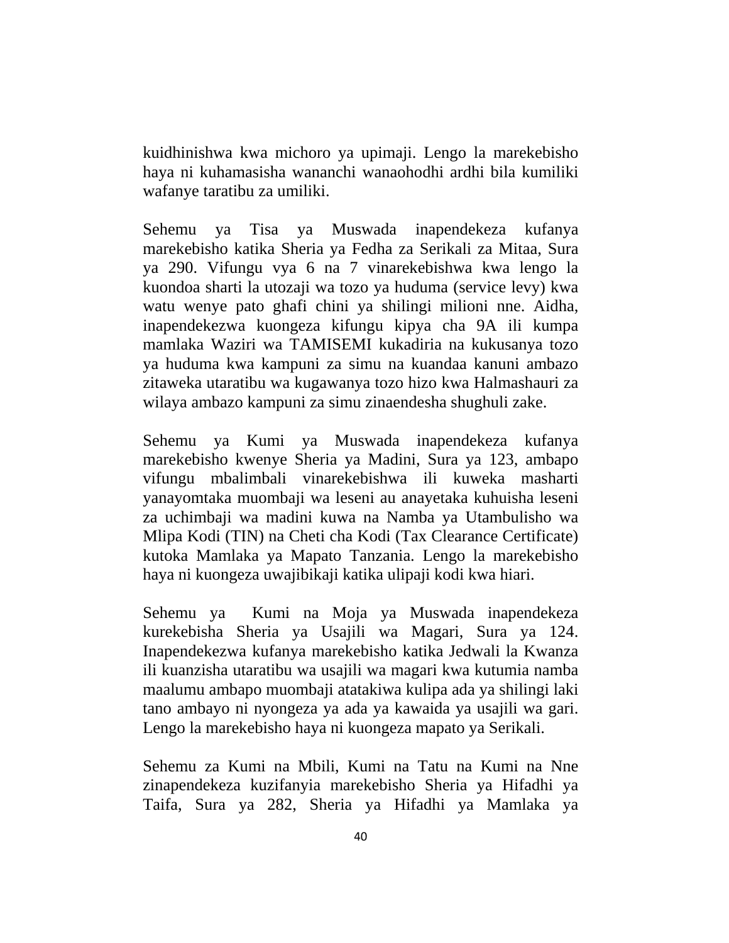kuidhinishwa kwa michoro ya upimaji. Lengo la marekebisho haya ni kuhamasisha wananchi wanaohodhi ardhi bila kumiliki wafanye taratibu za umiliki.

Sehemu ya Tisa ya Muswada inapendekeza kufanya marekebisho katika Sheria ya Fedha za Serikali za Mitaa, Sura ya 290. Vifungu vya 6 na 7 vinarekebishwa kwa lengo la kuondoa sharti la utozaji wa tozo ya huduma (service levy) kwa watu wenye pato ghafi chini ya shilingi milioni nne. Aidha, inapendekezwa kuongeza kifungu kipya cha 9A ili kumpa mamlaka Waziri wa TAMISEMI kukadiria na kukusanya tozo ya huduma kwa kampuni za simu na kuandaa kanuni ambazo zitaweka utaratibu wa kugawanya tozo hizo kwa Halmashauri za wilaya ambazo kampuni za simu zinaendesha shughuli zake.

Sehemu ya Kumi ya Muswada inapendekeza kufanya marekebisho kwenye Sheria ya Madini, Sura ya 123, ambapo vifungu mbalimbali vinarekebishwa ili kuweka masharti yanayomtaka muombaji wa leseni au anayetaka kuhuisha leseni za uchimbaji wa madini kuwa na Namba ya Utambulisho wa Mlipa Kodi (TIN) na Cheti cha Kodi (Tax Clearance Certificate) kutoka Mamlaka ya Mapato Tanzania. Lengo la marekebisho haya ni kuongeza uwajibikaji katika ulipaji kodi kwa hiari.

Sehemu ya Kumi na Moja ya Muswada inapendekeza kurekebisha Sheria ya Usajili wa Magari, Sura ya 124. Inapendekezwa kufanya marekebisho katika Jedwali la Kwanza ili kuanzisha utaratibu wa usajili wa magari kwa kutumia namba maalumu ambapo muombaji atatakiwa kulipa ada ya shilingi laki tano ambayo ni nyongeza ya ada ya kawaida ya usajili wa gari. Lengo la marekebisho haya ni kuongeza mapato ya Serikali.

Sehemu za Kumi na Mbili, Kumi na Tatu na Kumi na Nne zinapendekeza kuzifanyia marekebisho Sheria ya Hifadhi ya Taifa, Sura ya 282, Sheria ya Hifadhi ya Mamlaka ya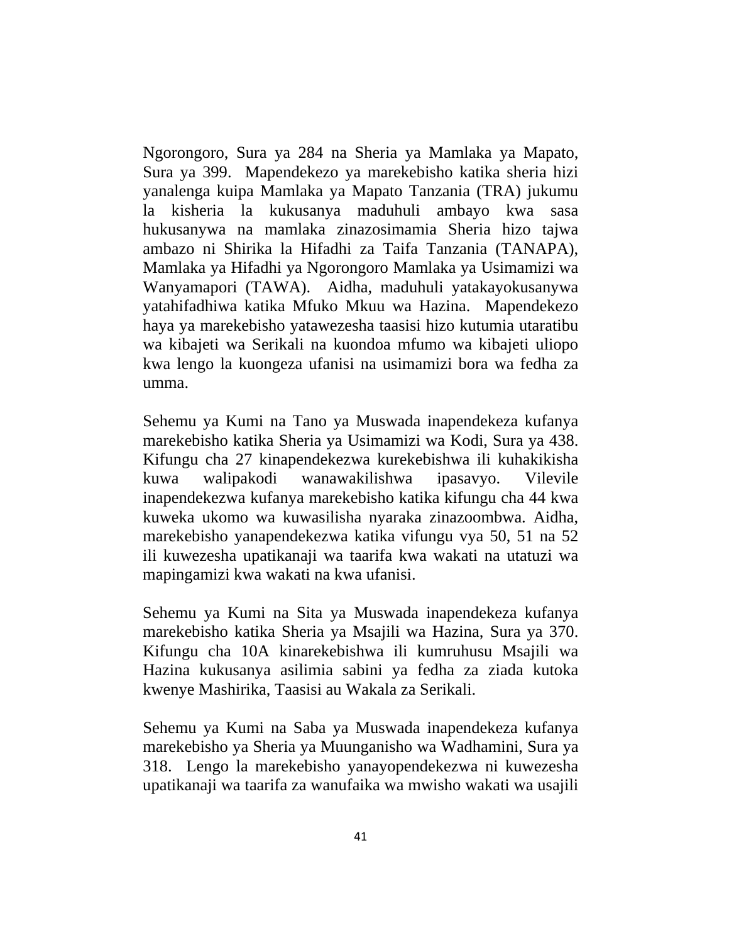Ngorongoro, Sura ya 284 na Sheria ya Mamlaka ya Mapato, Sura ya 399. Mapendekezo ya marekebisho katika sheria hizi yanalenga kuipa Mamlaka ya Mapato Tanzania (TRA) jukumu la kisheria la kukusanya maduhuli ambayo kwa sasa hukusanywa na mamlaka zinazosimamia Sheria hizo tajwa ambazo ni Shirika la Hifadhi za Taifa Tanzania (TANAPA), Mamlaka ya Hifadhi ya Ngorongoro Mamlaka ya Usimamizi wa Wanyamapori (TAWA). Aidha, maduhuli yatakayokusanywa yatahifadhiwa katika Mfuko Mkuu wa Hazina. Mapendekezo haya ya marekebisho yatawezesha taasisi hizo kutumia utaratibu wa kibajeti wa Serikali na kuondoa mfumo wa kibajeti uliopo kwa lengo la kuongeza ufanisi na usimamizi bora wa fedha za umma.

Sehemu ya Kumi na Tano ya Muswada inapendekeza kufanya marekebisho katika Sheria ya Usimamizi wa Kodi, Sura ya 438. Kifungu cha 27 kinapendekezwa kurekebishwa ili kuhakikisha kuwa walipakodi wanawakilishwa ipasavyo. Vilevile inapendekezwa kufanya marekebisho katika kifungu cha 44 kwa kuweka ukomo wa kuwasilisha nyaraka zinazoombwa. Aidha, marekebisho yanapendekezwa katika vifungu vya 50, 51 na 52 ili kuwezesha upatikanaji wa taarifa kwa wakati na utatuzi wa mapingamizi kwa wakati na kwa ufanisi.

Sehemu ya Kumi na Sita ya Muswada inapendekeza kufanya marekebisho katika Sheria ya Msajili wa Hazina, Sura ya 370. Kifungu cha 10A kinarekebishwa ili kumruhusu Msajili wa Hazina kukusanya asilimia sabini ya fedha za ziada kutoka kwenye Mashirika, Taasisi au Wakala za Serikali.

Sehemu ya Kumi na Saba ya Muswada inapendekeza kufanya marekebisho ya Sheria ya Muunganisho wa Wadhamini, Sura ya 318. Lengo la marekebisho yanayopendekezwa ni kuwezesha upatikanaji wa taarifa za wanufaika wa mwisho wakati wa usajili